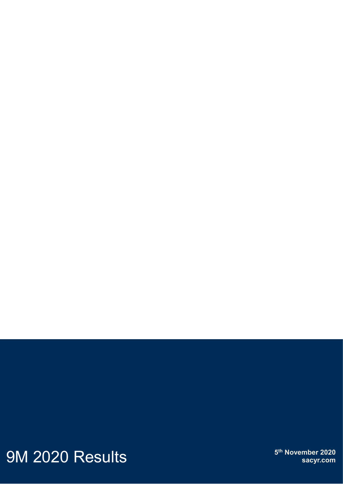9M 2020 Results

**5<sup>th</sup> November 2020** sacyr.com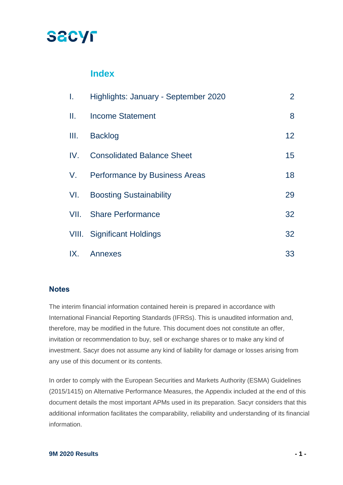### **SACYF**

### **Index**

| T.   | Highlights: January - September 2020 | $\overline{2}$  |
|------|--------------------------------------|-----------------|
| Ш.   | <b>Income Statement</b>              | 8               |
| III. | <b>Backlog</b>                       | 12 <sup>°</sup> |
| IV.  | <b>Consolidated Balance Sheet</b>    | 15              |
|      | V. Performance by Business Areas     | 18              |
| VI.  | <b>Boosting Sustainability</b>       | 29              |
|      | <b>VII.</b> Share Performance        | 32              |
|      | <b>VIII.</b> Significant Holdings    | 32              |
| IX.  | Annexes                              | 33              |

#### **Notes**

The interim financial information contained herein is prepared in accordance with International Financial Reporting Standards (IFRSs). This is unaudited information and, therefore, may be modified in the future. This document does not constitute an offer, invitation or recommendation to buy, sell or exchange shares or to make any kind of investment. Sacyr does not assume any kind of liability for damage or losses arising from any use of this document or its contents.

In order to comply with the European Securities and Markets Authority (ESMA) Guidelines (2015/1415) on Alternative Performance Measures, the Appendix included at the end of this document details the most important APMs used in its preparation. Sacyr considers that this additional information facilitates the comparability, reliability and understanding of its financial information.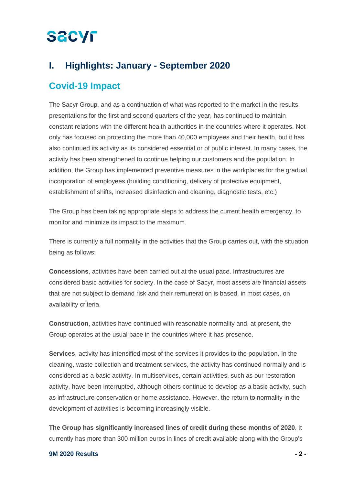### **I. Highlights: January - September 2020**

### **Covid-19 Impact**

The Sacyr Group, and as a continuation of what was reported to the market in the results presentations for the first and second quarters of the year, has continued to maintain constant relations with the different health authorities in the countries where it operates. Not only has focused on protecting the more than 40,000 employees and their health, but it has also continued its activity as its considered essential or of public interest. In many cases, the activity has been strengthened to continue helping our customers and the population. In addition, the Group has implemented preventive measures in the workplaces for the gradual incorporation of employees (building conditioning, delivery of protective equipment, establishment of shifts, increased disinfection and cleaning, diagnostic tests, etc.)

The Group has been taking appropriate steps to address the current health emergency, to monitor and minimize its impact to the maximum.

There is currently a full normality in the activities that the Group carries out, with the situation being as follows:

**Concessions**, activities have been carried out at the usual pace. Infrastructures are considered basic activities for society. In the case of Sacyr, most assets are financial assets that are not subject to demand risk and their remuneration is based, in most cases, on availability criteria.

**Construction**, activities have continued with reasonable normality and, at present, the Group operates at the usual pace in the countries where it has presence.

**Services**, activity has intensified most of the services it provides to the population. In the cleaning, waste collection and treatment services, the activity has continued normally and is considered as a basic activity. In multiservices, certain activities, such as our restoration activity, have been interrupted, although others continue to develop as a basic activity, such as infrastructure conservation or home assistance. However, the return to normality in the development of activities is becoming increasingly visible.

**The Group has significantly increased lines of credit during these months of 2020**. It currently has more than 300 million euros in lines of credit available along with the Group's

#### **9M 2020 Results - 2 -**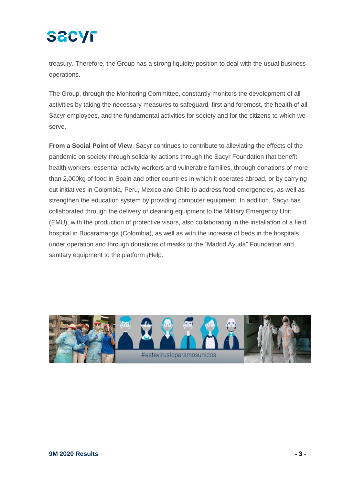treasury. Therefore, the Group has a strong liquidity position to deal with the usual business operations.

The Group, through the Monitoring Committee, constantly monitors the development of all activities by taking the necessary measures to safeguard, first and foremost, the health of all Sacyr employees, and the fundamental activities for society and for the citizens to which we serve.

**From a Social Point of View**, Sacyr continues to contribute to alleviating the effects of the pandemic on society through solidarity actions through the Sacyr Foundation that benefit health workers, essential activity workers and vulnerable families, through donations of more than 2,000kg of food in Spain and other countries in which it operates abroad, or by carrying out initiatives in Colombia, Peru, Mexico and Chile to address food emergencies, as well as strengthen the education system by providing computer equipment. In addition, Sacyr has collaborated through the delivery of cleaning equipment to the Military Emergency Unit (EMU), with the production of protective visors, also collaborating in the installation of a field hospital in Bucaramanga (Colombia), as well as with the increase of beds in the hospitals under operation and through donations of masks to the "Madrid Ayuda" Foundation and sanitary equipment to the platform ¡Help.

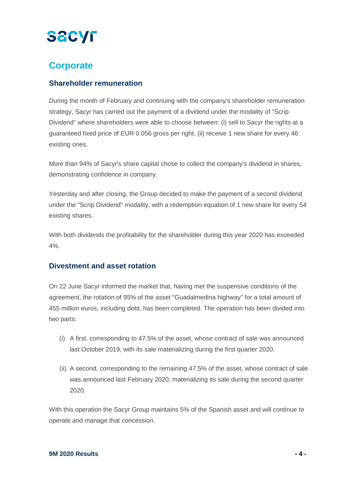### **Corporate**

#### **Shareholder remuneration**

During the month of February and continuing with the company's shareholder remuneration strategy, Sacyr has carried out the payment of a dividend under the modality of "Scrip Dividend" where shareholders were able to choose between: (i) sell to Sacyr the rights at a guaranteed fixed price of EUR 0.056 gross per right, (ii) receive 1 new share for every 46 existing ones.

More than 94% of Sacyr's share capital chose to collect the company's dividend in shares, demonstrating confidence in company.

Yesterday and after closing, the Group decided to make the payment of a second dividend under the "Scrip Dividend" modality, with a redemption equation of 1 new share for every 54 existing shares.

With both dividends the profitability for the shareholder during this year 2020 has exceeded 4%.

#### **Divestment and asset rotation**

On 22 June Sacyr informed the market that, having met the suspensive conditions of the agreement, the rotation of 95% of the asset "Guadalmedina highway" for a total amount of 455 million euros, including debt, has been completed. The operation has been divided into two parts:

- (i) A first, corresponding to 47.5% of the asset, whose contract of sale was announced last October 2019, with its sale materializing during the first quarter 2020.
- (ii) A second, corresponding to the remaining 47.5% of the asset, whose contract of sale was announced last February 2020, materializing its sale during the second quarter 2020.

With this operation the Sacyr Group maintains 5% of the Spanish asset and will continue to operate and manage that concession.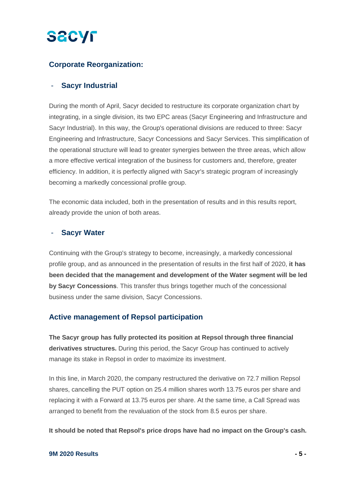#### **Corporate Reorganization:**

#### - **Sacyr Industrial**

During the month of April, Sacyr decided to restructure its corporate organization chart by integrating, in a single division, its two EPC areas (Sacyr Engineering and Infrastructure and Sacyr Industrial). In this way, the Group's operational divisions are reduced to three: Sacyr Engineering and Infrastructure, Sacyr Concessions and Sacyr Services. This simplification of the operational structure will lead to greater synergies between the three areas, which allow a more effective vertical integration of the business for customers and, therefore, greater efficiency. In addition, it is perfectly aligned with Sacyr's strategic program of increasingly becoming a markedly concessional profile group.

The economic data included, both in the presentation of results and in this results report, already provide the union of both areas.

#### - **Sacyr Water**

Continuing with the Group's strategy to become, increasingly, a markedly concessional profile group, and as announced in the presentation of results in the first half of 2020, **it has been decided that the management and development of the Water segment will be led by Sacyr Concessions**. This transfer thus brings together much of the concessional business under the same division, Sacyr Concessions.

#### **Active management of Repsol participation**

**The Sacyr group has fully protected its position at Repsol through three financial derivatives structures.** During this period, the Sacyr Group has continued to actively manage its stake in Repsol in order to maximize its investment.

In this line, in March 2020, the company restructured the derivative on 72.7 million Repsol shares, cancelling the PUT option on 25.4 million shares worth 13.75 euros per share and replacing it with a Forward at 13.75 euros per share. At the same time, a Call Spread was arranged to benefit from the revaluation of the stock from 8.5 euros per share.

**It should be noted that Repsol's price drops have had no impact on the Group's cash.**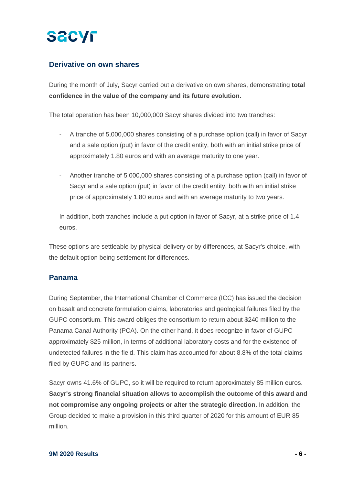

#### **Derivative on own shares**

During the month of July, Sacyr carried out a derivative on own shares, demonstrating **total confidence in the value of the company and its future evolution.**

The total operation has been 10,000,000 Sacyr shares divided into two tranches:

- A tranche of 5,000,000 shares consisting of a purchase option (call) in favor of Sacyr and a sale option (put) in favor of the credit entity, both with an initial strike price of approximately 1.80 euros and with an average maturity to one year.
- Another tranche of 5,000,000 shares consisting of a purchase option (call) in favor of Sacyr and a sale option (put) in favor of the credit entity, both with an initial strike price of approximately 1.80 euros and with an average maturity to two years.

In addition, both tranches include a put option in favor of Sacyr, at a strike price of 1.4 euros.

These options are settleable by physical delivery or by differences, at Sacyr's choice, with the default option being settlement for differences.

#### **Panama**

During September, the International Chamber of Commerce (ICC) has issued the decision on basalt and concrete formulation claims, laboratories and geological failures filed by the GUPC consortium. This award obliges the consortium to return about \$240 million to the Panama Canal Authority (PCA). On the other hand, it does recognize in favor of GUPC approximately \$25 million, in terms of additional laboratory costs and for the existence of undetected failures in the field. This claim has accounted for about 8.8% of the total claims filed by GUPC and its partners.

Sacyr owns 41.6% of GUPC, so it will be required to return approximately 85 million euros. **Sacyr's strong financial situation allows to accomplish the outcome of this award and not compromise any ongoing projects or alter the strategic direction.** In addition, the Group decided to make a provision in this third quarter of 2020 for this amount of EUR 85 million.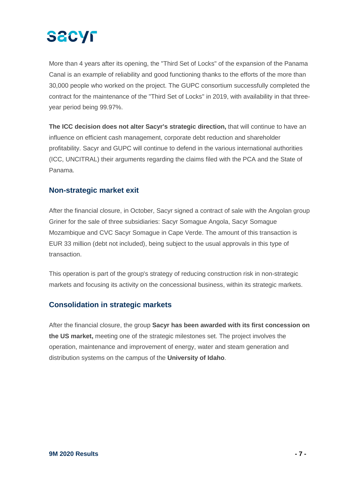

More than 4 years after its opening, the "Third Set of Locks" of the expansion of the Panama Canal is an example of reliability and good functioning thanks to the efforts of the more than 30,000 people who worked on the project. The GUPC consortium successfully completed the contract for the maintenance of the "Third Set of Locks" in 2019, with availability in that threeyear period being 99.97%.

**The ICC decision does not alter Sacyr's strategic direction,** that will continue to have an influence on efficient cash management, corporate debt reduction and shareholder profitability. Sacyr and GUPC will continue to defend in the various international authorities (ICC, UNCITRAL) their arguments regarding the claims filed with the PCA and the State of Panama.

#### **Non-strategic market exit**

After the financial closure, in October, Sacyr signed a contract of sale with the Angolan group Griner for the sale of three subsidiaries: Sacyr Somague Angola, Sacyr Somague Mozambique and CVC Sacyr Somague in Cape Verde. The amount of this transaction is EUR 33 million (debt not included), being subject to the usual approvals in this type of transaction.

This operation is part of the group's strategy of reducing construction risk in non-strategic markets and focusing its activity on the concessional business, within its strategic markets.

#### **Consolidation in strategic markets**

After the financial closure, the group **Sacyr has been awarded with its first concession on the US market,** meeting one of the strategic milestones set. The project involves the operation, maintenance and improvement of energy, water and steam generation and distribution systems on the campus of the **University of Idaho**.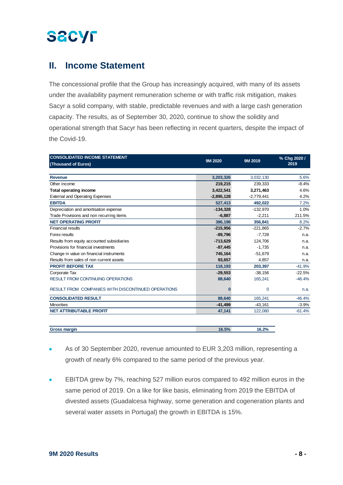### **II. Income Statement**

The concessional profile that the Group has increasingly acquired, with many of its assets under the availability payment remuneration scheme or with traffic risk mitigation, makes Sacyr a solid company, with stable, predictable revenues and with a large cash generation capacity. The results, as of September 30, 2020, continue to show the solidity and operational strength that Sacyr has been reflecting in recent quarters, despite the impact of the Covid-19.

| <b>CONSOLIDATED INCOME STATEMENT</b>               | 9M 2020      | 9M 2019      | % Chg 2020 / |  |
|----------------------------------------------------|--------------|--------------|--------------|--|
| (Thousand of Euros)                                |              |              | 2019         |  |
|                                                    |              |              |              |  |
| <b>Revenue</b>                                     | 3,203,326    | 3,032,130    | 5.6%         |  |
| Other income                                       | 219,215      | 239,333      | $-8.4%$      |  |
| <b>Total operating income</b>                      | 3,422,541    | 3,271,463    | 4.6%         |  |
| <b>External and Operating Expenses</b>             | $-2,895,128$ | $-2,779,441$ | 4.2%         |  |
| <b>EBITDA</b>                                      | 527,413      | 492,022      | 7.2%         |  |
| Depreciation and amortisation expense              | $-134,328$   | $-132,970$   | 1.0%         |  |
| Trade Provisions and non recurring items           | $-6,887$     | $-2,211$     | 211.5%       |  |
| <b>NET OPERATING PROFIT</b>                        | 386,198      | 356,841      | 8.2%         |  |
| <b>Financial results</b>                           | $-215,956$   | $-221,865$   | $-2.7%$      |  |
| Forex results                                      | $-89,796$    | $-7,728$     | n.a.         |  |
| Results from equity accounted subsidiaries         | $-713,629$   | 124,706      | n.a.         |  |
| Provisions for financial investments               | $-87,445$    | $-1,735$     | n.a.         |  |
| Change in value on financial instruments           | 745,164      | $-51,679$    | n.a.         |  |
| Results from sales of non current assets           | 93,657       | 4,857        | n.a.         |  |
| <b>PROFIT BEFORE TAX</b>                           | 118,193      | 203,397      | $-41.9%$     |  |
| Corporate Tax                                      | $-29,553$    | $-38,156$    | $-22.5%$     |  |
| <b>RESULT FROM CONTINUING OPERATIONS</b>           | 88,640       | 165,241      | $-46.4%$     |  |
| RESULT FROM COMPANIES WITH DISCONTINUED OPERATIONS | n            | 0            | n.a.         |  |
| <b>CONSOLIDATED RESULT</b>                         | 88,640       | 165,241      | $-46.4%$     |  |
| <b>Minorities</b>                                  | $-41,499$    | $-43,161$    | $-3.9%$      |  |
| <b>NET ATTRIBUTABLE PROFIT</b>                     | 47,141       | 122,080      | $-61.4%$     |  |
|                                                    |              |              |              |  |

| Gross margin | E <sub>0</sub> /<br>. .<br>70 | $^{\circ}$ C $^{\circ}$ O $^{\circ}$<br><b>0.470</b> |
|--------------|-------------------------------|------------------------------------------------------|
|              |                               |                                                      |

- As of 30 September 2020, revenue amounted to EUR 3,203 million, representing a growth of nearly 6% compared to the same period of the previous year.
- EBITDA grew by 7%, reaching 527 million euros compared to 492 million euros in the same period of 2019. On a like for like basis, eliminating from 2019 the EBITDA of divested assets (Guadalcesa highway, some generation and cogeneration plants and several water assets in Portugal) the growth in EBITDA is 15%.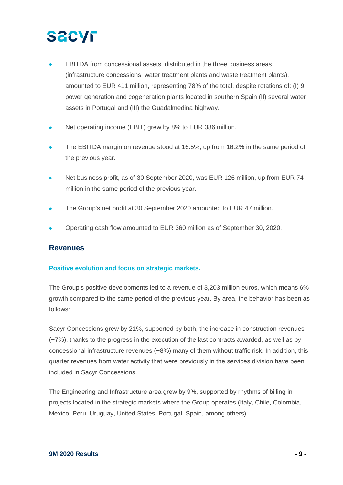- EBITDA from concessional assets, distributed in the three business areas (infrastructure concessions, water treatment plants and waste treatment plants), amounted to EUR 411 million, representing 78% of the total, despite rotations of: (I) 9 power generation and cogeneration plants located in southern Spain (II) several water assets in Portugal and (III) the Guadalmedina highway.
- Net operating income (EBIT) grew by 8% to EUR 386 million.
- The EBITDA margin on revenue stood at 16.5%, up from 16.2% in the same period of the previous year.
- Net business profit, as of 30 September 2020, was EUR 126 million, up from EUR 74 million in the same period of the previous year.
- The Group's net profit at 30 September 2020 amounted to EUR 47 million.
- Operating cash flow amounted to EUR 360 million as of September 30, 2020.

#### **Revenues**

#### **Positive evolution and focus on strategic markets.**

The Group's positive developments led to a revenue of 3,203 million euros, which means 6% growth compared to the same period of the previous year. By area, the behavior has been as follows:

Sacyr Concessions grew by 21%, supported by both, the increase in construction revenues (+7%), thanks to the progress in the execution of the last contracts awarded, as well as by concessional infrastructure revenues (+8%) many of them without traffic risk. In addition, this quarter revenues from water activity that were previously in the services division have been included in Sacyr Concessions.

The Engineering and Infrastructure area grew by 9%, supported by rhythms of billing in projects located in the strategic markets where the Group operates (Italy, Chile, Colombia, Mexico, Peru, Uruguay, United States, Portugal, Spain, among others).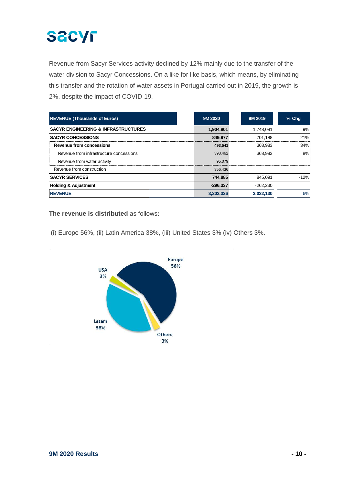Revenue from Sacyr Services activity declined by 12% mainly due to the transfer of the water division to Sacyr Concessions. On a like for like basis, which means, by eliminating this transfer and the rotation of water assets in Portugal carried out in 2019, the growth is 2%, despite the impact of COVID-19.

| <b>REVENUE (Thousands of Euros)</b>            | 9M 2020    | 9M 2019    | $%$ Chq |
|------------------------------------------------|------------|------------|---------|
| <b>SACYR ENGINEERING &amp; INFRASTRUCTURES</b> | 1,904,801  | 1.748.081  | 9%      |
| <b>SACYR CONCESSIONS</b>                       | 849.977    | 701.188    | 21%     |
| Revenue from concessions                       | 493.541    | 368.983    | 34%     |
| Revenue from infrastructure concessions        | 398.462    | 368.983    | 8%      |
| Revenue from water activity                    | 95.079     |            |         |
| Revenue from construction                      | 356.436    |            |         |
| <b>SACYR SERVICES</b>                          | 744,885    | 845.091    | $-12%$  |
| <b>Holding &amp; Adjustment</b>                | $-296.337$ | $-262.230$ |         |
| <b>REVENUE</b>                                 | 3,203,326  | 3,032,130  | 6%      |

#### **The revenue is distributed** as follows**:**

(i) Europe 56%, (ii) Latin America 38%, (iii) United States 3% (iv) Others 3%.

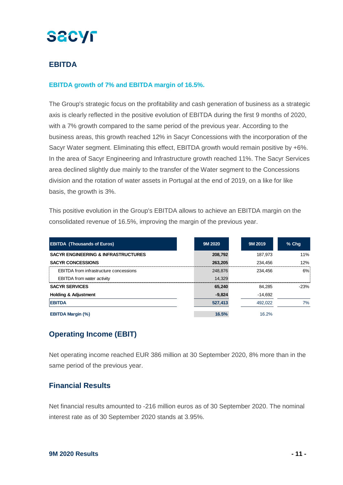#### **EBITDA**

#### **EBITDA growth of 7% and EBITDA margin of 16.5%.**

The Group's strategic focus on the profitability and cash generation of business as a strategic axis is clearly reflected in the positive evolution of EBITDA during the first 9 months of 2020, with a 7% growth compared to the same period of the previous year. According to the business areas, this growth reached 12% in Sacyr Concessions with the incorporation of the Sacyr Water segment. Eliminating this effect, EBITDA growth would remain positive by +6%. In the area of Sacyr Engineering and Infrastructure growth reached 11%. The Sacyr Services area declined slightly due mainly to the transfer of the Water segment to the Concessions division and the rotation of water assets in Portugal at the end of 2019, on a like for like basis, the growth is 3%.

This positive evolution in the Group's EBITDA allows to achieve an EBITDA margin on the consolidated revenue of 16.5%, improving the margin of the previous year.

| <b>EBITDA (Thousands of Euros)</b>             | 9M 2020  | 9M 2019   | $%$ Chq |
|------------------------------------------------|----------|-----------|---------|
| <b>SACYR ENGINEERING &amp; INFRASTRUCTURES</b> | 208.792  | 187.973   | 11%     |
| <b>SACYR CONCESSIONS</b>                       | 263.205  | 234.456   | 12%     |
| <b>EBITDA</b> from infrastructure concessions  | 248,876  | 234.456   | 6%      |
| <b>EBITDA</b> from water activity              | 14.329   |           |         |
| <b>SACYR SERVICES</b>                          | 65,240   | 84.285    | $-23%$  |
| <b>Holding &amp; Adjustment</b>                | $-9,824$ | $-14,692$ |         |
| <b>EBITDA</b>                                  | 527,413  | 492.022   | 7%      |
| <b>EBITDA Margin (%)</b>                       | 16.5%    | 16.2%     |         |

#### **Operating Income (EBIT)**

Net operating income reached EUR 386 million at 30 September 2020, 8% more than in the same period of the previous year.

#### **Financial Results**

Net financial results amounted to -216 million euros as of 30 September 2020. The nominal interest rate as of 30 September 2020 stands at 3.95%.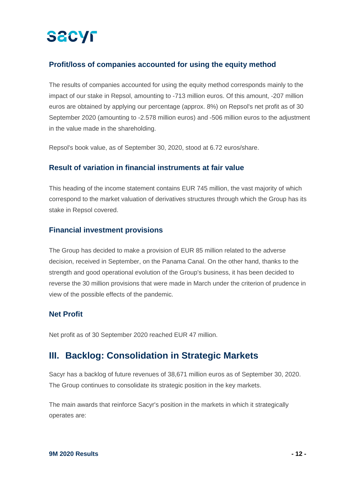#### **Profit/loss of companies accounted for using the equity method**

The results of companies accounted for using the equity method corresponds mainly to the impact of our stake in Repsol, amounting to -713 million euros. Of this amount, -207 million euros are obtained by applying our percentage (approx. 8%) on Repsol's net profit as of 30 September 2020 (amounting to -2.578 million euros) and -506 million euros to the adjustment in the value made in the shareholding.

Repsol's book value, as of September 30, 2020, stood at 6.72 euros/share.

#### **Result of variation in financial instruments at fair value**

This heading of the income statement contains EUR 745 million, the vast majority of which correspond to the market valuation of derivatives structures through which the Group has its stake in Repsol covered.

#### **Financial investment provisions**

The Group has decided to make a provision of EUR 85 million related to the adverse decision, received in September, on the Panama Canal. On the other hand, thanks to the strength and good operational evolution of the Group's business, it has been decided to reverse the 30 million provisions that were made in March under the criterion of prudence in view of the possible effects of the pandemic.

#### **Net Profit**

Net profit as of 30 September 2020 reached EUR 47 million.

### **III. Backlog: Consolidation in Strategic Markets**

Sacyr has a backlog of future revenues of 38,671 million euros as of September 30, 2020. The Group continues to consolidate its strategic position in the key markets.

The main awards that reinforce Sacyr's position in the markets in which it strategically operates are: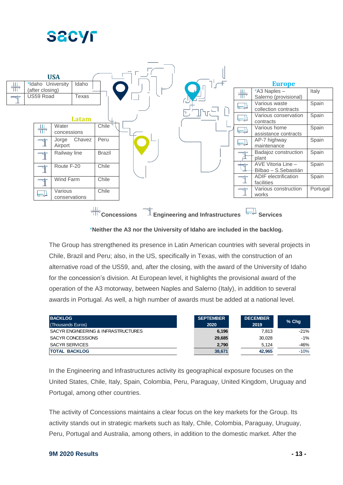



**Concessions Engineering and Infrastructures**  $\frac{1}{2}$  **Services** 

\***Neither the A3 nor the University of Idaho are included in the backlog.**

The Group has strengthened its presence in Latin American countries with several projects in Chile, Brazil and Peru; also, in the US, specifically in Texas, with the construction of an alternative road of the US59, and, after the closing, with the award of the University of Idaho for the concession's division. At European level, it highlights the provisional award of the operation of the A3 motorway, between Naples and Salerno (Italy), in addition to several awards in Portugal. As well, a high number of awards must be added at a national level.

| <b>BACKLOG</b>                      | <b>SEPTEMBER</b> | <b>DECEMBER</b> | % Chq  |
|-------------------------------------|------------------|-----------------|--------|
| (Thousands Euros)                   | 2020             | 2019            |        |
| SACYR ENGINEERING & INFRASTRUCTURES | 6,196            | 7.813           | $-21%$ |
| SACYR CONCESSIONS                   | 29,685           | 30.028          | $-1\%$ |
| <b>SACYR SERVICES</b>               | 2,790            | 5.124           | $-46%$ |
| <b>TOTAL BACKLOG</b>                | 38,671           | 42.965          | $-10%$ |

In the Engineering and Infrastructures activity its geographical exposure focuses on the United States, Chile, Italy, Spain, Colombia, Peru, Paraguay, United Kingdom, Uruguay and Portugal, among other countries.

The activity of Concessions maintains a clear focus on the key markets for the Group. Its activity stands out in strategic markets such as Italy, Chile, Colombia, Paraguay, Uruguay, Peru, Portugal and Australia, among others, in addition to the domestic market. After the

#### **9M 2020 Results - 13 -**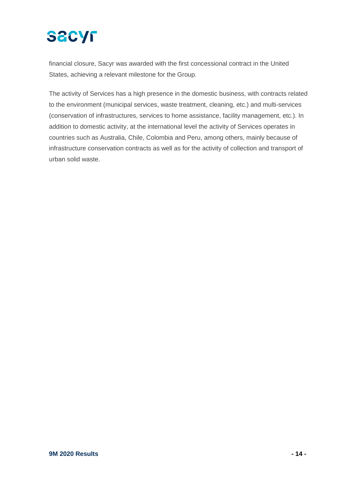financial closure, Sacyr was awarded with the first concessional contract in the United States, achieving a relevant milestone for the Group.

The activity of Services has a high presence in the domestic business, with contracts related to the environment (municipal services, waste treatment, cleaning, etc.) and multi-services (conservation of infrastructures, services to home assistance, facility management, etc.). In addition to domestic activity, at the international level the activity of Services operates in countries such as Australia, Chile, Colombia and Peru, among others, mainly because of infrastructure conservation contracts as well as for the activity of collection and transport of urban solid waste.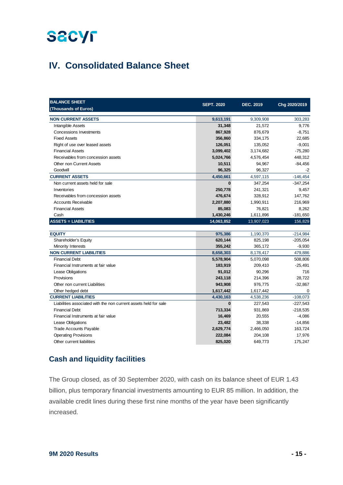### **IV. Consolidated Balance Sheet**

| <b>BALANCE SHEET</b>                                             | <b>SEPT. 2020</b> | <b>DEC. 2019</b> | Chg 2020/2019 |
|------------------------------------------------------------------|-------------------|------------------|---------------|
| (Thousands of Euros)                                             |                   |                  |               |
| <b>NON CURRENT ASSETS</b>                                        | 9,613,191         | 9,309,908        | 303,283       |
| Intangible Assets                                                | 31,348            | 21,572           | 9,776         |
| <b>Concessions Investments</b>                                   | 867,928           | 876,679          | $-8,751$      |
| <b>Fixed Assets</b>                                              | 356,860           | 334,175          | 22,685        |
| Right of use over leased assets                                  | 126,051           | 135,052          | $-9,001$      |
| <b>Financial Assets</b>                                          | 3,099,402         | 3,174,682        | $-75,280$     |
| Receivables from concession assets                               | 5,024,766         | 4,576,454        | 448,312       |
| <b>Other non Current Assets</b>                                  | 10,511            | 94,967           | $-84,456$     |
| Goodwill                                                         | 96.325            | 96.327           | -2            |
| <b>CURRENT ASSETS</b>                                            | 4,450,661         | 4,597,115        | $-146,454$    |
| Non current assets held for sale                                 | $\bf{0}$          | 347,254          | $-347,254$    |
| Inventories                                                      | 250,778           | 241,321          | 9,457         |
| Receivables from concession assets                               | 476,674           | 328,912          | 147,762       |
| <b>Accounts Receivable</b>                                       | 2,207,880         | 1,990,911        | 216,969       |
| <b>Financial Assets</b>                                          | 85,083            | 76,821           | 8,262         |
| Cash                                                             | 1,430,246         | 1,611,896        | $-181,650$    |
| <b>ASSETS = LIABILITIES</b>                                      | 14,063,852        | 13,907,023       | 156,829       |
|                                                                  |                   |                  |               |
| <b>EQUITY</b>                                                    | 975,386           | 1,190,370        | $-214,984$    |
| Shareholder's Equity                                             | 620,144           | 825,198          | $-205,054$    |
| Minority Interests                                               | 355,242           | 365,172          | $-9,930$      |
| <b>NON CURRENT LIABILITIES</b>                                   | 8,658,303         | 8,178,417        | 479,886       |
| <b>Financial Debt</b>                                            | 5,578,904         | 5,070,098        | 508,806       |
| Financial Instruments at fair value                              | 183,919           | 209,410          | $-25,491$     |
| Lease Obligations                                                | 91,012            | 90,296           | 716           |
| Provisions                                                       | 243,118           | 214,396          | 28,722        |
| Other non current Liabilities                                    | 943,908           | 976,775          | $-32,867$     |
| Other hedged debt                                                | 1,617,442         | 1,617,442        | 0             |
| <b>CURRENT LIABILITIES</b>                                       | 4,430,163         | 4,538,236        | $-108,073$    |
| Liabilities associated with the non current assets held for sale | $\bf{0}$          | 227,543          | $-227,543$    |
| <b>Financial Debt</b>                                            | 713,334           | 931,869          | $-218,535$    |
| Financial Instruments at fair value                              | 16,469            | 20,555           | $-4,086$      |
| Lease Obligations                                                | 23,482            | 38,338           | $-14,856$     |
| <b>Trade Accounts Payable</b>                                    | 2,629,774         | 2,466,050        | 163,724       |
| <b>Operating Provisions</b>                                      | 222,084           | 204,108          | 17,976        |
| Other current liabilities                                        | 825,020           | 649,773          | 175,247       |

#### **Cash and liquidity facilities**

The Group closed, as of 30 September 2020, with cash on its balance sheet of EUR 1.43 billion, plus temporary financial investments amounting to EUR 85 million. In addition, the available credit lines during these first nine months of the year have been significantly increased.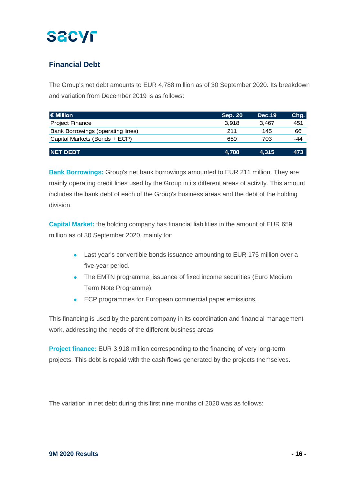### **Financial Debt**

The Group's net debt amounts to EUR 4,788 million as of 30 September 2020. Its breakdown and variation from December 2019 is as follows:

| l€ Million                        | <b>Sep. 20</b> | <b>Dec.19</b> | Chg. |
|-----------------------------------|----------------|---------------|------|
| <b>Project Finance</b>            | 3.918          | 3.467         | 451  |
| Bank Borrowings (operating lines) | 211            | 145           | 66   |
| Capital Markets (Bonds + ECP)     | 659            | 703           | -44  |
|                                   |                |               |      |
| <b>NET DEBT</b>                   | 4.788          | 4.315         | 473  |

**Bank Borrowings:** Group's net bank borrowings amounted to EUR 211 million. They are mainly operating credit lines used by the Group in its different areas of activity. This amount includes the bank debt of each of the Group's business areas and the debt of the holding division.

**Capital Market:** the holding company has financial liabilities in the amount of EUR 659 million as of 30 September 2020, mainly for:

- Last year's convertible bonds issuance amounting to EUR 175 million over a five-year period.
- The EMTN programme, issuance of fixed income securities (Euro Medium Term Note Programme).
- ECP programmes for European commercial paper emissions.

This financing is used by the parent company in its coordination and financial management work, addressing the needs of the different business areas.

**Project finance:** EUR 3,918 million corresponding to the financing of very long-term projects. This debt is repaid with the cash flows generated by the projects themselves.

The variation in net debt during this first nine months of 2020 was as follows: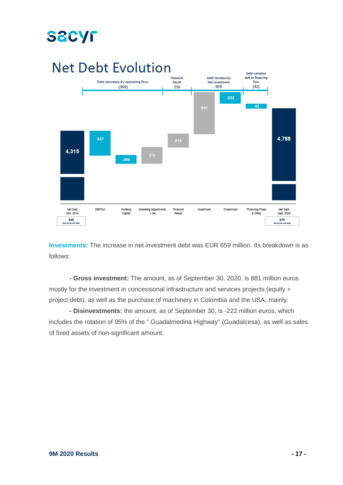

**Investments:** The increase in net investment debt was EUR 659 million. Its breakdown is as follows:

**- Gross investment:** The amount, as of September 30, 2020, is 881 million euros mostly for the investment in concessional infrastructure and services projects (equity + project debt), as well as the purchase of machinery in Colombia and the USA, mainly.

**- Disinvestments:** the amount, as of September 30, is -222 million euros, which includes the rotation of 95% of the " Guadalmedina Highway" (Guadalcesa), as well as sales of fixed assets of non-significant amount.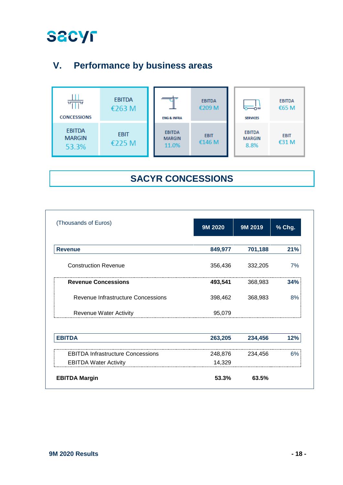

### **V. Performance by business areas**



### **SACYR CONCESSIONS**

| (Thousands of Euros)                     | 9M 2020 | 9M 2019 | % Chg. |
|------------------------------------------|---------|---------|--------|
| <b>Revenue</b>                           | 849,977 | 701,188 | 21%    |
| <b>Construction Revenue</b>              | 356,436 | 332,205 | 7%     |
| <b>Revenue Concessions</b>               | 493,541 | 368,983 | 34%    |
| Revenue Infrastructure Concessions       | 398,462 | 368,983 | 8%     |
| <b>Revenue Water Activity</b>            | 95,079  |         |        |
| <b>EBITDA</b>                            | 263,205 | 234,456 | 12%    |
| <b>EBITDA Infrastructure Concessions</b> | 248,876 | 234,456 | 6%     |
| <b>EBITDA Water Activity</b>             | 14,329  |         |        |
| <b>EBITDA Margin</b>                     | 53.3%   | 63.5%   |        |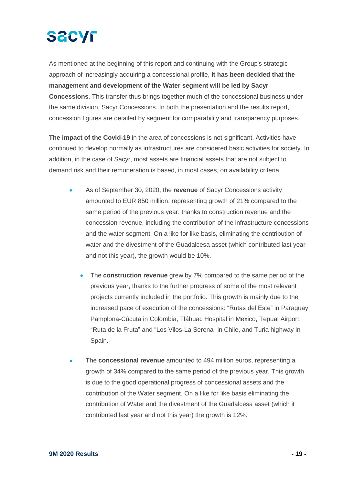# **SACYF**

As mentioned at the beginning of this report and continuing with the Group's strategic approach of increasingly acquiring a concessional profile, **it has been decided that the management and development of the Water segment will be led by Sacyr Concessions**. This transfer thus brings together much of the concessional business under the same division, Sacyr Concessions. In both the presentation and the results report, concession figures are detailed by segment for comparability and transparency purposes.

**The impact of the Covid-19** in the area of concessions is not significant. Activities have continued to develop normally as infrastructures are considered basic activities for society. In addition, in the case of Sacyr, most assets are financial assets that are not subject to demand risk and their remuneration is based, in most cases, on availability criteria.

- As of September 30, 2020, the **revenue** of Sacyr Concessions activity amounted to EUR 850 million, representing growth of 21% compared to the same period of the previous year, thanks to construction revenue and the concession revenue, including the contribution of the infrastructure concessions and the water segment. On a like for like basis, eliminating the contribution of water and the divestment of the Guadalcesa asset (which contributed last year and not this year), the growth would be 10%.
	- The **construction revenue** grew by 7% compared to the same period of the previous year, thanks to the further progress of some of the most relevant projects currently included in the portfolio. This growth is mainly due to the increased pace of execution of the concessions: "Rutas del Este" in Paraguay, Pamplona-Cúcuta in Colombia, Tláhuac Hospital in Mexico, Tepual Airport, "Ruta de la Fruta" and "Los Vilos-La Serena" in Chile, and Turia highway in Spain.
- The **concessional revenue** amounted to 494 million euros, representing a growth of 34% compared to the same period of the previous year. This growth is due to the good operational progress of concessional assets and the contribution of the Water segment. On a like for like basis eliminating the contribution of Water and the divestment of the Guadalcesa asset (which it contributed last year and not this year) the growth is 12%.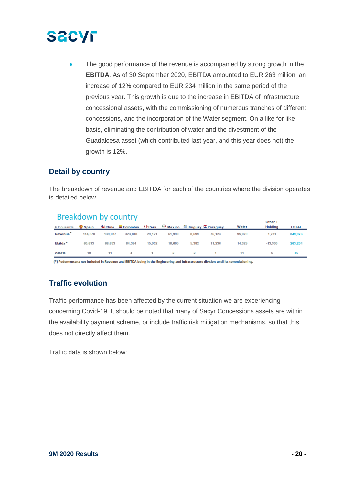

The good performance of the revenue is accompanied by strong growth in the **EBITDA**. As of 30 September 2020, EBITDA amounted to EUR 263 million, an increase of 12% compared to EUR 234 million in the same period of the previous year. This growth is due to the increase in EBITDA of infrastructure concessional assets, with the commissioning of numerous tranches of different concessions, and the incorporation of the Water segment. On a like for like basis, eliminating the contribution of water and the divestment of the Guadalcesa asset (which contributed last year, and this year does not) the growth is 12%.

#### **Detail by country**

The breakdown of revenue and EBITDA for each of the countries where the division operates is detailed below.

#### Breakdown by country

| Ethousands Copain Chile Colombia O'Peru (9) Mexico O'Uruguay C'Paraguay |         |         |         |        |        |       |             | Water  | Other +<br>Holding | <b>TOTAL</b> |
|-------------------------------------------------------------------------|---------|---------|---------|--------|--------|-------|-------------|--------|--------------------|--------------|
| Revenue <sup>*</sup>                                                    | 114,378 | 139,037 | 323,818 | 29,121 | 61,990 | 8,699 | 76,123      | 95,079 | 1.731              | 849,976      |
| Ebitda <sup>*</sup>                                                     | 60,633  | 66,633  | 84,364  | 15,952 | 18,605 | 5,382 | 11,236      | 14,329 | $-13,930$          | 263,204      |
| <b>Assets</b>                                                           | 18      | 11      |         | 4 1 2  |        |       | $2 \quad 1$ | 11     | 6                  | 56           |

(\*) Pedemontana not included in Revenue and EBITDA being in the Engineering and Infrastructure division until its commissioning.

#### **Traffic evolution**

Traffic performance has been affected by the current situation we are experiencing concerning Covid-19. It should be noted that many of Sacyr Concessions assets are within the availability payment scheme, or include traffic risk mitigation mechanisms, so that this does not directly affect them.

Traffic data is shown below: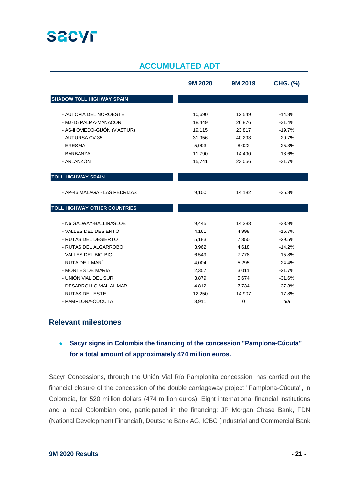

#### **ACCUMULATED ADT**

|                                     | 9M 2020 | 9M 2019     | <b>CHG. (%)</b> |
|-------------------------------------|---------|-------------|-----------------|
| <b>SHADOW TOLL HIGHWAY SPAIN</b>    |         |             |                 |
| - AUTOVIA DEL NOROESTE              | 10,690  | 12,549      | $-14.8%$        |
| - Ma-15 PALMA-MANACOR               | 18,449  | 26,876      | $-31.4%$        |
| - AS-II OVIEDO-GIJÓN (VIASTUR)      | 19,115  | 23,817      | $-19.7%$        |
| - AUTURSA CV-35                     | 31,956  | 40,293      | $-20.7%$        |
| - ERESMA                            | 5,993   | 8,022       | $-25.3%$        |
| - BARBANZA                          | 11,790  | 14,490      | $-18.6%$        |
| - ARLANZON                          | 15,741  | 23,056      | $-31.7%$        |
| <b>TOLL HIGHWAY SPAIN</b>           |         |             |                 |
|                                     |         |             |                 |
| - AP-46 MÁLAGA - LAS PEDRIZAS       | 9,100   | 14,182      | $-35.8%$        |
| <b>TOLL HIGHWAY OTHER COUNTRIES</b> |         |             |                 |
| - N6 GALWAY-BALLINASLOE             | 9,445   | 14,283      | $-33.9%$        |
| - VALLES DEL DESIERTO               | 4,161   | 4,998       | $-16.7%$        |
| - RUTAS DEL DESIERTO                | 5,183   | 7,350       | $-29.5%$        |
| - RUTAS DEL ALGARROBO               | 3,962   | 4,618       | $-14.2%$        |
| - VALLES DEL BIO-BIO                | 6,549   | 7,778       | $-15.8%$        |
| - RUTA DE LIMARÍ                    | 4,004   | 5,295       | $-24.4%$        |
| - MONTES DE MARÍA                   | 2,357   | 3,011       | $-21.7%$        |
| - UNIÓN VIAL DEL SUR                | 3,879   | 5,674       | $-31.6%$        |
| - DESARROLLO VIAL AL MAR            | 4,812   | 7,734       | $-37.8%$        |
| - RUTAS DEL ESTE                    | 12,250  | 14,907      | $-17.8%$        |
| - PAMPLONA-CÚCUTA                   | 3,911   | $\mathbf 0$ | n/a             |

#### **Relevant milestones**

#### • **Sacyr signs in Colombia the financing of the concession "Pamplona-Cúcuta" for a total amount of approximately 474 million euros.**

Sacyr Concessions, through the Unión Vial Río Pamplonita concession, has carried out the financial closure of the concession of the double carriageway project "Pamplona-Cúcuta", in Colombia, for 520 million dollars (474 million euros). Eight international financial institutions and a local Colombian one, participated in the financing: JP Morgan Chase Bank, FDN (National Development Financial), Deutsche Bank AG, ICBC (Industrial and Commercial Bank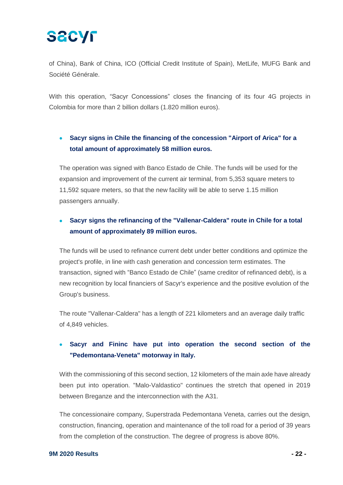of China), Bank of China, ICO (Official Credit Institute of Spain), MetLife, MUFG Bank and Société Générale.

With this operation, "Sacyr Concessions" closes the financing of its four 4G projects in Colombia for more than 2 billion dollars (1.820 million euros).

#### • **Sacyr signs in Chile the financing of the concession "Airport of Arica" for a total amount of approximately 58 million euros.**

The operation was signed with Banco Estado de Chile. The funds will be used for the expansion and improvement of the current air terminal, from 5,353 square meters to 11,592 square meters, so that the new facility will be able to serve 1.15 million passengers annually.

#### • **Sacyr signs the refinancing of the "Vallenar-Caldera" route in Chile for a total amount of approximately 89 million euros.**

The funds will be used to refinance current debt under better conditions and optimize the project's profile, in line with cash generation and concession term estimates. The transaction, signed with "Banco Estado de Chile" (same creditor of refinanced debt), is a new recognition by local financiers of Sacyr's experience and the positive evolution of the Group's business.

The route "Vallenar-Caldera" has a length of 221 kilometers and an average daily traffic of 4,849 vehicles.

#### • **Sacyr and Fininc have put into operation the second section of the "Pedemontana-Veneta" motorway in Italy.**

With the commissioning of this second section, 12 kilometers of the main axle have already been put into operation. "Malo-Valdastico" continues the stretch that opened in 2019 between Breganze and the interconnection with the A31.

The concessionaire company, Superstrada Pedemontana Veneta, carries out the design, construction, financing, operation and maintenance of the toll road for a period of 39 years from the completion of the construction. The degree of progress is above 80%.

#### **9M 2020 Results - 22 -**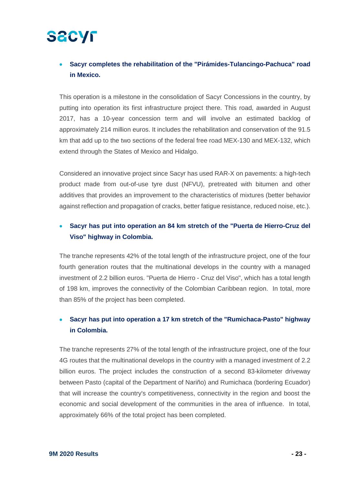#### • **Sacyr completes the rehabilitation of the "Pirámides-Tulancingo-Pachuca" road in Mexico.**

This operation is a milestone in the consolidation of Sacyr Concessions in the country, by putting into operation its first infrastructure project there. This road, awarded in August 2017, has a 10-year concession term and will involve an estimated backlog of approximately 214 million euros. It includes the rehabilitation and conservation of the 91.5 km that add up to the two sections of the federal free road MEX-130 and MEX-132, which extend through the States of Mexico and Hidalgo.

Considered an innovative project since Sacyr has used RAR-X on pavements: a high-tech product made from out-of-use tyre dust (NFVU), pretreated with bitumen and other additives that provides an improvement to the characteristics of mixtures (better behavior against reflection and propagation of cracks, better fatigue resistance, reduced noise, etc.).

#### • **Sacyr has put into operation an 84 km stretch of the "Puerta de Hierro-Cruz del Viso" highway in Colombia.**

The tranche represents 42% of the total length of the infrastructure project, one of the four fourth generation routes that the multinational develops in the country with a managed investment of 2.2 billion euros. "Puerta de Hierro - Cruz del Viso", which has a total length of 198 km, improves the connectivity of the Colombian Caribbean region. In total, more than 85% of the project has been completed.

#### • **Sacyr has put into operation a 17 km stretch of the "Rumichaca-Pasto" highway in Colombia.**

The tranche represents 27% of the total length of the infrastructure project, one of the four 4G routes that the multinational develops in the country with a managed investment of 2.2 billion euros. The project includes the construction of a second 83-kilometer driveway between Pasto (capital of the Department of Nariño) and Rumichaca (bordering Ecuador) that will increase the country's competitiveness, connectivity in the region and boost the economic and social development of the communities in the area of influence. In total, approximately 66% of the total project has been completed.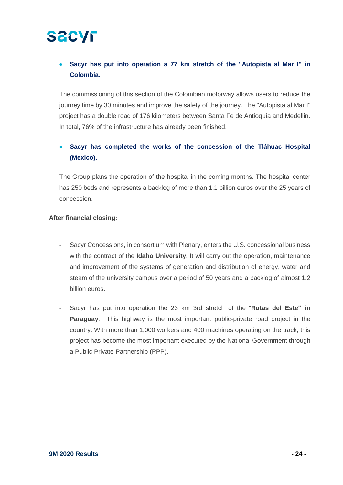#### • **Sacyr has put into operation a 77 km stretch of the "Autopista al Mar I" in Colombia.**

The commissioning of this section of the Colombian motorway allows users to reduce the journey time by 30 minutes and improve the safety of the journey. The "Autopista al Mar I" project has a double road of 176 kilometers between Santa Fe de Antioquía and Medellin. In total, 76% of the infrastructure has already been finished.

#### • **Sacyr has completed the works of the concession of the Tláhuac Hospital (Mexico).**

The Group plans the operation of the hospital in the coming months. The hospital center has 250 beds and represents a backlog of more than 1.1 billion euros over the 25 years of concession.

#### **After financial closing:**

- Sacyr Concessions, in consortium with Plenary, enters the U.S. concessional business with the contract of the **Idaho University**. It will carry out the operation, maintenance and improvement of the systems of generation and distribution of energy, water and steam of the university campus over a period of 50 years and a backlog of almost 1.2 billion euros.
- Sacyr has put into operation the 23 km 3rd stretch of the "**Rutas del Este" in Paraguay**. This highway is the most important public-private road project in the country. With more than 1,000 workers and 400 machines operating on the track, this project has become the most important executed by the National Government through a Public Private Partnership (PPP).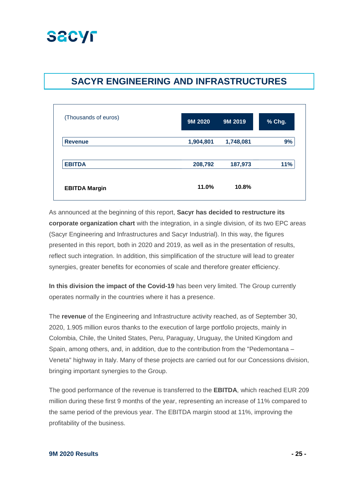### **SECYF**

### **SACYR ENGINEERING AND INFRASTRUCTURES**

| (Thousands of euros) | 9M 2020   | 9M 2019   | % Chg. |
|----------------------|-----------|-----------|--------|
| <b>Revenue</b>       | 1,904,801 | 1,748,081 | 9%     |
| <b>EBITDA</b>        | 208,792   | 187,973   | 11%    |
| <b>EBITDA Margin</b> | 11.0%     | 10.8%     |        |

As announced at the beginning of this report, **Sacyr has decided to restructure its corporate organization chart** with the integration, in a single division, of its two EPC areas (Sacyr Engineering and Infrastructures and Sacyr Industrial). In this way, the figures presented in this report, both in 2020 and 2019, as well as in the presentation of results, reflect such integration. In addition, this simplification of the structure will lead to greater synergies, greater benefits for economies of scale and therefore greater efficiency.

**In this division the impact of the Covid-19** has been very limited. The Group currently operates normally in the countries where it has a presence.

The **revenue** of the Engineering and Infrastructure activity reached, as of September 30, 2020, 1.905 million euros thanks to the execution of large portfolio projects, mainly in Colombia, Chile, the United States, Peru, Paraguay, Uruguay, the United Kingdom and Spain, among others, and, in addition, due to the contribution from the "Pedemontana – Veneta" highway in Italy. Many of these projects are carried out for our Concessions division, bringing important synergies to the Group.

The good performance of the revenue is transferred to the **EBITDA**, which reached EUR 209 million during these first 9 months of the year, representing an increase of 11% compared to the same period of the previous year. The EBITDA margin stood at 11%, improving the profitability of the business.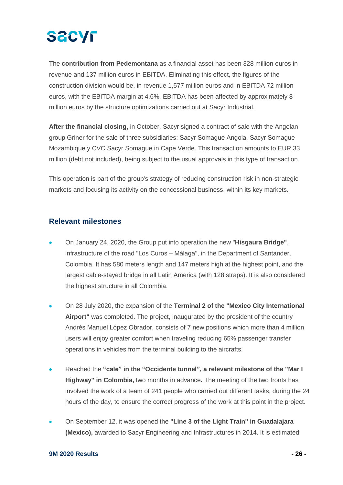

The **contribution from Pedemontana** as a financial asset has been 328 million euros in revenue and 137 million euros in EBITDA. Eliminating this effect, the figures of the construction division would be, in revenue 1,577 million euros and in EBITDA 72 million euros, with the EBITDA margin at 4.6%. EBITDA has been affected by approximately 8 million euros by the structure optimizations carried out at Sacyr Industrial.

**After the financial closing,** in October, Sacyr signed a contract of sale with the Angolan group Griner for the sale of three subsidiaries: Sacyr Somague Angola, Sacyr Somague Mozambique y CVC Sacyr Somague in Cape Verde. This transaction amounts to EUR 33 million (debt not included), being subject to the usual approvals in this type of transaction.

This operation is part of the group's strategy of reducing construction risk in non-strategic markets and focusing its activity on the concessional business, within its key markets.

#### **Relevant milestones**

- On January 24, 2020, the Group put into operation the new "**Hisgaura Bridge"**, infrastructure of the road "Los Curos – Málaga", in the Department of Santander, Colombia. It has 580 meters length and 147 meters high at the highest point, and the largest cable-stayed bridge in all Latin America (with 128 straps). It is also considered the highest structure in all Colombia.
- On 28 July 2020, the expansion of the **Terminal 2 of the "Mexico City International Airport"** was completed. The project, inaugurated by the president of the country Andrés Manuel López Obrador, consists of 7 new positions which more than 4 million users will enjoy greater comfort when traveling reducing 65% passenger transfer operations in vehicles from the terminal building to the aircrafts.
- Reached the **"cale" in the "Occidente tunnel", a relevant milestone of the "Mar I Highway" in Colombia,** two months in advance**.** The meeting of the two fronts has involved the work of a team of 241 people who carried out different tasks, during the 24 hours of the day, to ensure the correct progress of the work at this point in the project.
- On September 12, it was opened the **"Line 3 of the Light Train" in Guadalajara (Mexico),** awarded to Sacyr Engineering and Infrastructures in 2014. It is estimated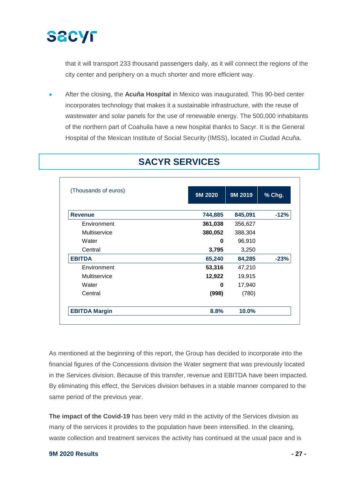

that it will transport 233 thousand passengers daily, as it will connect the regions of the city center and periphery on a much shorter and more efficient way.

• After the closing, the **Acuña Hospital** in Mexico was inaugurated. This 90-bed center incorporates technology that makes it a sustainable infrastructure, with the reuse of wastewater and solar panels for the use of renewable energy. The 500,000 inhabitants of the northern part of Coahuila have a new hospital thanks to Sacyr. It is the General Hospital of the Mexican Institute of Social Security (IMSS), located in Ciudad Acuña.

| (Thousands of euros) | 9M 2020 | 9M 2019 | % Chg. |  |
|----------------------|---------|---------|--------|--|
| <b>Revenue</b>       | 744,885 | 845,091 | $-12%$ |  |
| Environment          | 361,038 | 356,627 |        |  |
| Multiservice         | 380,052 | 388,304 |        |  |
| Water                | 0       | 96,910  |        |  |
| Central              | 3,795   | 3,250   |        |  |
| <b>EBITDA</b>        | 65,240  | 84,285  | $-23%$ |  |
| Environment          | 53,316  | 47,210  |        |  |
| Multiservice         | 12,922  | 19,915  |        |  |
| Water                | 0       | 17,940  |        |  |
| Central              | (998)   | (780)   |        |  |
| <b>EBITDA Margin</b> | 8.8%    | 10.0%   |        |  |

### **SACYR SERVICES**

As mentioned at the beginning of this report, the Group has decided to incorporate into the financial figures of the Concessions division the Water segment that was previously located in the Services division. Because of this transfer, revenue and EBITDA have been impacted. By eliminating this effect, the Services division behaves in a stable manner compared to the same period of the previous year.

**The impact of the Covid-19** has been very mild in the activity of the Services division as many of the services it provides to the population have been intensified. In the cleaning, waste collection and treatment services the activity has continued at the usual pace and is

#### **9M 2020 Results - 27 -**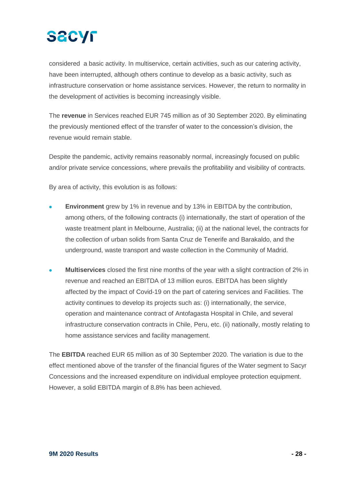

considered a basic activity. In multiservice, certain activities, such as our catering activity, have been interrupted, although others continue to develop as a basic activity, such as infrastructure conservation or home assistance services. However, the return to normality in the development of activities is becoming increasingly visible.

The **revenue** in Services reached EUR 745 million as of 30 September 2020. By eliminating the previously mentioned effect of the transfer of water to the concession's division, the revenue would remain stable.

Despite the pandemic, activity remains reasonably normal, increasingly focused on public and/or private service concessions, where prevails the profitability and visibility of contracts.

By area of activity, this evolution is as follows:

- **Environment** grew by 1% in revenue and by 13% in EBITDA by the contribution, among others, of the following contracts (i) internationally, the start of operation of the waste treatment plant in Melbourne, Australia; (ii) at the national level, the contracts for the collection of urban solids from Santa Cruz de Tenerife and Barakaldo, and the underground, waste transport and waste collection in the Community of Madrid.
- **Multiservices** closed the first nine months of the year with a slight contraction of 2% in revenue and reached an EBITDA of 13 million euros. EBITDA has been slightly affected by the impact of Covid-19 on the part of catering services and Facilities. The activity continues to develop its projects such as: (i) internationally, the service, operation and maintenance contract of Antofagasta Hospital in Chile, and several infrastructure conservation contracts in Chile, Peru, etc. (ii) nationally, mostly relating to home assistance services and facility management.

The **EBITDA** reached EUR 65 million as of 30 September 2020. The variation is due to the effect mentioned above of the transfer of the financial figures of the Water segment to Sacyr Concessions and the increased expenditure on individual employee protection equipment. However, a solid EBITDA margin of 8.8% has been achieved.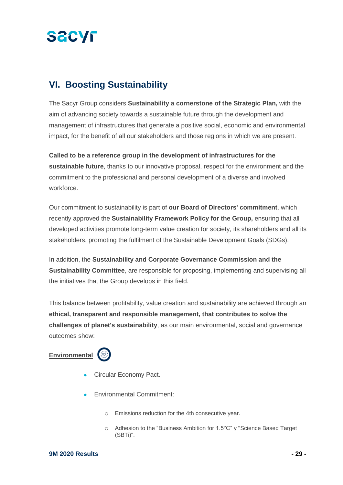

### **VI. Boosting Sustainability**

The Sacyr Group considers **Sustainability a cornerstone of the Strategic Plan,** with the aim of advancing society towards a sustainable future through the development and management of infrastructures that generate a positive social, economic and environmental impact, for the benefit of all our stakeholders and those regions in which we are present.

**Called to be a reference group in the development of infrastructures for the sustainable future**, thanks to our innovative proposal, respect for the environment and the commitment to the professional and personal development of a diverse and involved workforce.

Our commitment to sustainability is part of **our Board of Directors' commitment**, which recently approved the **Sustainability Framework Policy for the Group,** ensuring that all developed activities promote long-term value creation for society, its shareholders and all its stakeholders, promoting the fulfilment of the Sustainable Development Goals (SDGs).

In addition, the **Sustainability and Corporate Governance Commission and the Sustainability Committee**, are responsible for proposing, implementing and supervising all the initiatives that the Group develops in this field.

This balance between profitability, value creation and sustainability are achieved through an **ethical, transparent and responsible management, that contributes to solve the challenges of planet's sustainability**, as our main environmental, social and governance outcomes show:





- Circular Economy Pact.
- Environmental Commitment:
	- o Emissions reduction for the 4th consecutive year.
	- o Adhesion to the "Business Ambition for 1.5°C" y "Science Based Target (SBTi)".

#### **9M 2020 Results - 29 -**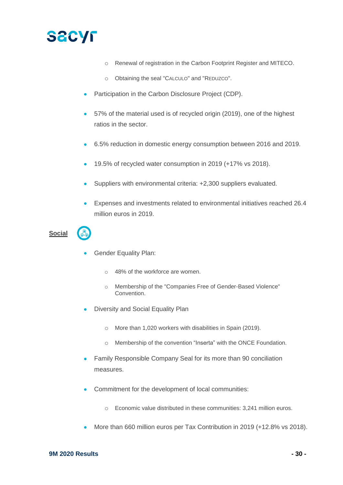

- o Renewal of registration in the Carbon Footprint Register and MITECO.
- o Obtaining the seal "CALCULO" and "REDUZCO".
- Participation in the Carbon Disclosure Project (CDP).
- 57% of the material used is of recycled origin (2019), one of the highest ratios in the sector.
- 6.5% reduction in domestic energy consumption between 2016 and 2019.
- 19.5% of recycled water consumption in 2019 (+17% vs 2018).
- Suppliers with environmental criteria: +2,300 suppliers evaluated.
- Expenses and investments related to environmental initiatives reached 26.4 million euros in 2019.

### **Social**

- Gender Equality Plan:
	- o 48% of the workforce are women.
	- o Membership of the "Companies Free of Gender-Based Violence" Convention.
- Diversity and Social Equality Plan
	- o More than 1,020 workers with disabilities in Spain (2019).
	- o Membership of the convention "Inserta" with the ONCE Foundation.
- Family Responsible Company Seal for its more than 90 conciliation measures.
- Commitment for the development of local communities:
	- o Economic value distributed in these communities: 3,241 million euros.
- More than 660 million euros per Tax Contribution in 2019 (+12.8% vs 2018).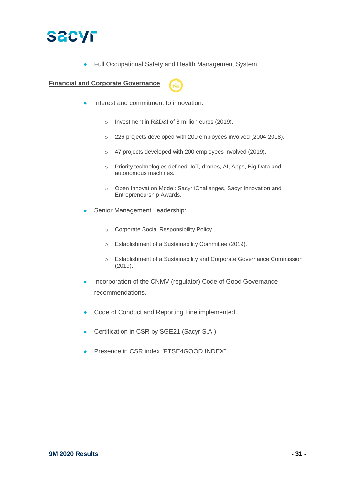

• Full Occupational Safety and Health Management System.

**Financial and Corporate Governance**



- Interest and commitment to innovation:
	- o Investment in R&D&I of 8 million euros (2019).
	- o 226 projects developed with 200 employees involved (2004-2018).
	- o 47 projects developed with 200 employees involved (2019).
	- o Priority technologies defined: IoT, drones, AI, Apps, Big Data and autonomous machines.
	- o Open Innovation Model: Sacyr iChallenges, Sacyr Innovation and Entrepreneurship Awards.
- Senior Management Leadership:
	- o Corporate Social Responsibility Policy.
	- o Establishment of a Sustainability Committee (2019).
	- o Establishment of a Sustainability and Corporate Governance Commission (2019).
- Incorporation of the CNMV (regulator) Code of Good Governance recommendations.
- Code of Conduct and Reporting Line implemented.
- Certification in CSR by SGE21 (Sacyr S.A.).
- Presence in CSR index "FTSE4GOOD INDEX".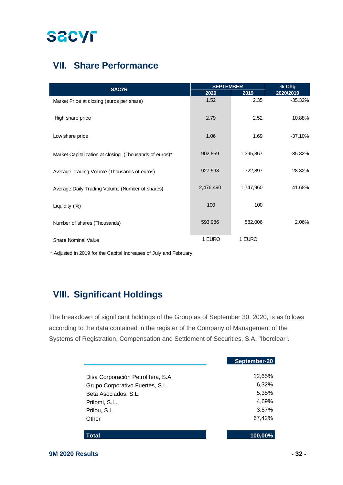### **VII. Share Performance**

| <b>SACYR</b>                                           | <b>SEPTEMBER</b> |           | % Chg     |  |
|--------------------------------------------------------|------------------|-----------|-----------|--|
|                                                        | 2020             | 2019      | 2020/2019 |  |
| Market Price at closing (euros per share)              | 1.52             | 2.35      | $-35.32%$ |  |
| High share price                                       | 2.79             | 2.52      | 10.88%    |  |
| Low share price                                        | 1.06             | 1.69      | $-37.10%$ |  |
| Market Capitalization at closing (Thousands of euros)* | 902,859          | 1,395,867 | $-35.32%$ |  |
| Average Trading Volume (Thousands of euros)            | 927,598          | 722,897   | 28.32%    |  |
| Average Daily Trading Volume (Number of shares)        | 2,476,490        | 1,747,960 | 41.68%    |  |
| Liquidity (%)                                          | 100              | 100       |           |  |
| Number of shares (Thousands)                           | 593,986          | 582,006   | 2.06%     |  |
| <b>Share Nominal Value</b>                             | 1 EURO           | 1 EURO    |           |  |

\* Adjusted in 2019 for the Capital Increases of July and February

### **VIII. Significant Holdings**

The breakdown of significant holdings of the Group as of September 30, 2020, is as follows according to the data contained in the register of the Company of Management of the Systems of Registration, Compensation and Settlement of Securities, S.A. "Iberclear".

|                                    | September-20 |
|------------------------------------|--------------|
| Disa Corporación Petrolífera, S.A. | 12,65%       |
| Grupo Corporativo Fuertes, S.L.    | 6,32%        |
| Beta Asociados, S.L.               | 5,35%        |
| Prilomi, S.L.                      | 4,69%        |
| Prilou, S.L.                       | 3,57%        |
| Other                              | 67,42%       |
| Total                              | 100.00%      |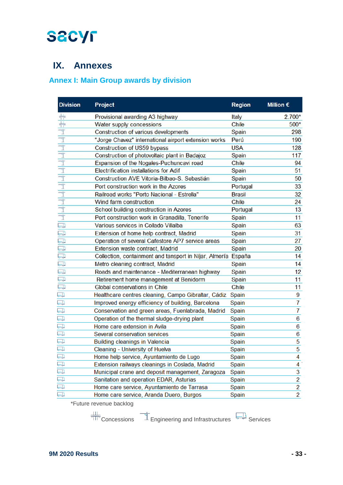### **IX. Annexes**

### **Annex I: Main Group awards by division**

| <b>Division</b>         | Project                                                       | <b>Region</b> | Million $\epsilon$ |
|-------------------------|---------------------------------------------------------------|---------------|--------------------|
|                         | Provisional awarding A3 highway                               | Italy         | $2.700*$           |
| キキュートトト                 | Water supply concessions                                      | <b>Chile</b>  | 500*               |
|                         | Construction of various developments                          | Spain         | 298                |
|                         | "Jorge Chavez" international airport extension works          | Perú          | 190                |
|                         | Construction of US59 bypass                                   | <b>USA</b>    | 128                |
|                         | Construction of photovoltaic plant in Badajoz                 | <b>Spain</b>  | 117                |
|                         | Expansion of the Nogales-Puchuncavi road                      | Chile         | 94                 |
| $\overline{\mathbb{1}}$ | <b>Electrification installations for Adif</b>                 | Spain         | 51                 |
| $\overline{\mathbb{I}}$ | Construction AVE Vitoria-Bilbao-S. Sebastián                  | Spain         | 50                 |
| $\overline{\mathbb{I}}$ | Port construction work in the Azores                          | Portugal      | 33                 |
|                         | Railroad works "Porto Nacional - Estrella"                    | <b>Brasil</b> | 32                 |
| 上下                      | Wind farm construction                                        | <b>Chile</b>  | 24                 |
| $\frac{1}{\mathbb{I}}$  | School building construction in Azores                        | Portugal      | 13                 |
| $\overline{\mathbb{T}}$ | Port construction work in Granadilla, Tenerife                | Spain         | 11                 |
| $\overline{\mathbb{D}}$ | Various services in Collado Villalba                          | Spain         | 63                 |
| $\Box$                  | Extension of home help contract, Madrid                       | Spain         | 31                 |
| U.                      | Operation of several Cafestore AP7 service areas              | Spain         | 27                 |
| U.                      | Extension waste contract, Madrid                              | Spain         | 20                 |
| $\Box$                  | Collection, containment and tansport in Níjar, Almería España |               | 14                 |
| $\Box$                  | Metro cleaning contract, Madrid                               | Spain         | 14                 |
| U                       | Roads and maintenance - Mediterranean highway                 | Spain         | 12                 |
| Q                       | Retirement home management at Benidorm                        | Spain         | 11                 |
| Ę                       | Global conservations in Chile                                 | Chile         | 11                 |
| <u>لي</u>               | Healthcare centres cleaning, Campo Gibraltar, Cádiz           | Spain         | 9                  |
| U)                      | Improved energy efficiency of building, Barcelona             | Spain         | $\overline{7}$     |
| ⋥                       | Conservation and green areas, Fuenlabrada, Madrid             | Spain         | $\overline{7}$     |
| $\Box$                  | Operation of the thermal sludge-drying plant                  | Spain         | 6                  |
| J                       | Home care extension in Avila                                  | Spain         | 6                  |
| 一八                      | Several conservation services                                 | Spain         | 6                  |
| $\Box$                  | Building cleanings in Valencia                                | Spain         | $\overline{5}$     |
| $\Box$                  | Cleaning - University of Huelva                               | Spain         | $\overline{5}$     |
| $\Box$                  | Home help service, Ayuntamiento de Lugo                       | Spain         | $\overline{4}$     |
| $\overline{\square}$    | Extension railways cleanings in Coslada, Madrid               | Spain         | 4                  |
| $\overline{\Box}$       | Municipal crane and deposit management, Zaragoza              | Spain         | $\overline{3}$     |
| $\Box$                  | Sanitation and operation EDAR, Asturias                       | Spain         | $\overline{2}$     |
| $\Box$                  | Home care service, Ayuntamiento de Tarrasa                    | Spain         | $\overline{2}$     |
| ليهنها                  | Home care service, Aranda Duero, Burgos                       | Spain         | $\overline{2}$     |

\*Future revenue backlog

 $\frac{111}{1111}$  Concessions  $\frac{1}{111}$  Engineering and Infrastructures  $\frac{1}{60}$  Services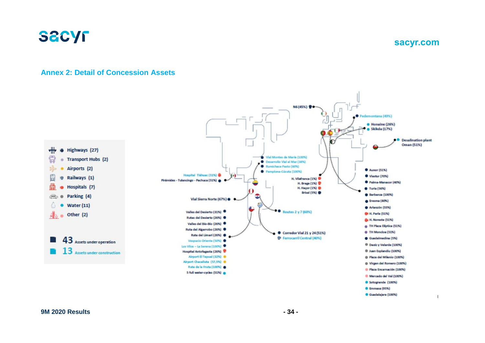

**sacyr.com**

#### **Annex 2: Detail of Concession Assets**

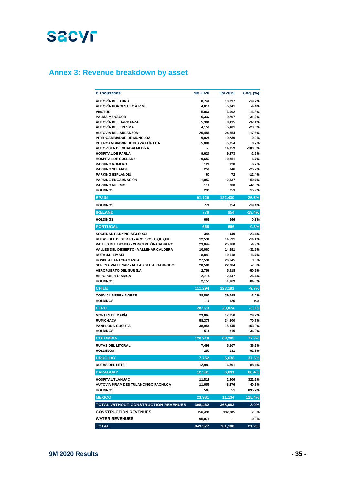### **Annex 3: Revenue breakdown by asset**

| € Thousands                                                       | 9M 2020         | 9M 2019          | Chg. (%)             |
|-------------------------------------------------------------------|-----------------|------------------|----------------------|
| <b>AUTOVÍA DEL TURIA</b>                                          | 8,746           | 10,897           | $-19.7%$             |
| <b>AUTOVÍA NOROESTE C.A.R.M.</b>                                  | 4,819           | 5,041            | $-4.4%$              |
| <b>VIASTUR</b>                                                    | 5,066           | 6,092            | $-16.8%$             |
| <b>PALMA MANACOR</b>                                              | 6,332           | 9,207            | $-31.2%$             |
| <b>AUTOVÍA DEL BARBANZA</b>                                       | 5,306           | 8,435            | $-37.1%$             |
| <b>AUTOVÍA DEL ERESMA</b>                                         | 4,159           | 5,401            | $-23.0%$             |
| AUTOVÍA DEL ARLANZÓN                                              | 20,485          | 24,854           | $-17.6%$             |
| <b>INTERCAMBIADOR DE MONCLOA</b>                                  | 9,825           | 9,739            | 0.9%                 |
| <b>INTERCAMBIADOR DE PLAZA ELÍPTICA</b>                           | 5,088           | 5,054            | 0.7%                 |
| <b>AUTOPISTA DE GUADALMEDINA</b>                                  |                 | 14,359           | $-100.0%$            |
| <b>HOSPITAL DE PARLA</b>                                          | 9,620           | 9,873            | $-2.6%$              |
| <b>HOSPITAL DE COSLADA</b>                                        | 9,657           | 10,351           | $-6.7%$              |
| <b>PARKING ROMERO</b>                                             | 128             | 120              | 6.7%                 |
| <b>PARKING VELARDE</b><br>PARKING ESPLANDIÚ                       | 259<br>63       | 346<br>72        | $-25.2%$             |
| <b>PARKING ENCARNACIÓN</b>                                        |                 |                  | $-12.4%$<br>$-50.7%$ |
| <b>PARKING MILENIO</b>                                            | 1,053<br>116    | 2,137<br>200     | $-42.0%$             |
| <b>HOLDINGS</b>                                                   | 293             | 253              | 15.9%                |
| <b>SPAIN</b>                                                      | 91,126          | 122,430          | $-25.6%$             |
| <b>HOLDINGS</b>                                                   | 770             | 954              | $-19.4%$             |
|                                                                   |                 |                  |                      |
| <b>IRELAND</b>                                                    | 770             | 954              | $-19.4%$             |
| <b>HOLDINGS</b>                                                   | 668             | 666              | 0.3%                 |
| <b>PORTUGAL</b>                                                   | 668             | 666              | 0.3%                 |
| SOCIEDAD PARKING SIGLO XXI                                        | 344             | 449              | $-23.4%$             |
| RUTAS DEL DESIERTO - ACCESOS A IQUIQUE                            | 12,536          | 14,591           | $-14.1%$             |
| <b>VALLES DEL BIO BIO - CONCEPCIÓN CABRERO</b>                    | 23,844          | 25,060           | $-4.9%$              |
| VALLES DEL DESIERTO - VALLENAR CALDERA<br><b>RUTA 43 - LIMARI</b> | 10,062          | 14,691           | $-31.5%$             |
| <b>HOSPITAL ANTOFAGASTA</b>                                       | 8,841<br>27,536 | 10,618<br>26,645 | $-16.7%$<br>3.3%     |
| SERENA VALLENAR - RUTAS DEL ALGARROBO                             | 20,509          | 22,204           | $-7.6%$              |
| AEROPUERTO DEL SUR S.A.                                           | 2,756           | 5,618            | -50.9%               |
| <b>AEROPUERTO ARICA</b>                                           | 2,714           | 2,147            | 26.4%                |
| <b>HOLDINGS</b>                                                   | 2,151           | 1,169            | 84.0%                |
| <b>CHILE</b>                                                      | 111,294         | 123,191          | $-9.7%$              |
| <b>CONVIAL SIERRA NORTE</b>                                       | 28,863          | 29,748           | -3.0%                |
| <b>HOLDINGS</b>                                                   | 110             | 126              | n/a                  |
| <b>PERU</b>                                                       | 28,973          | 29,874           | $-3.0%$              |
| <b>MONTES DE MARÍA</b>                                            | 23,067          | 17,850           | 29.2%                |
| <b>RUMICHACA</b>                                                  | 58,375          | 34,200           | 70.7%                |
| <b>PAMPLONA-CÚCUTA</b>                                            | 38,958          | 15,345           | 153.9%               |
| <b>HOLDINGS</b>                                                   | 518             | 810              | $-36.0%$             |
| <b>COLOMBIA</b>                                                   | 120,918         | 68,205           | 77.3%                |
| <b>RUTAS DEL LITORAL</b>                                          | 7.499           | 5,507            | 36.2%                |
| <b>HOLDINGS</b>                                                   | 253             | 131              | 92.8%                |
| <b>URUGUAY</b>                                                    | 7,752           | 5,638            | 37.5%                |
| <b>RUTAS DEL ESTE</b>                                             | 12,981          | 6,891            | 88.4%                |
| <b>PARAGUAY</b>                                                   | 12,981          | 6,891            | 88.4%                |
| <b>HOSPITAL TLAHUAC</b>                                           | 11,819          | 2,806            | 321.2%               |
| AUTOVIA PIRÁMIDES TULANCINGO PACHUCA                              | 11,655          | 8,276            | 40.8%                |
| <b>HOLDINGS</b>                                                   | 507             | 51               | 895.7%               |
| <b>MEXICO</b>                                                     | 23,981          | 11,134           | 115.4%               |
| TOTAL WITHOUT CONSTRUCTION REVENUES                               | 398,462         | 368,983          | 8.0%                 |
| <b>CONSTRUCTION REVENUES</b>                                      |                 |                  |                      |
| <b>WATER REVENUES</b>                                             | 356,436         | 332,205          | 7.3%<br>$0.0\%$      |
|                                                                   | 95,079          |                  |                      |
| <b>TOTAL</b>                                                      | 849,977         | 701,188          | 21.2%                |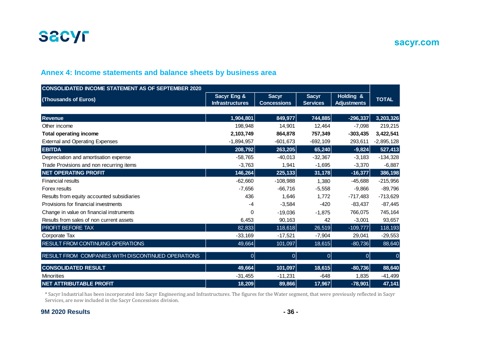

**sacyr.com**

#### **Annex 4: Income statements and balance sheets by business area**

| <b>CONSOLIDATED INCOME STATEMENT AS OF SEPTEMBER 2020</b>                                                                                                                                                                        |                                       |                                    |                                 |                                 |              |
|----------------------------------------------------------------------------------------------------------------------------------------------------------------------------------------------------------------------------------|---------------------------------------|------------------------------------|---------------------------------|---------------------------------|--------------|
| (Thousands of Euros)                                                                                                                                                                                                             | Sacyr Eng &<br><b>Infrastructures</b> | <b>Sacyr</b><br><b>Concessions</b> | <b>Sacyr</b><br><b>Services</b> | Holding &<br><b>Adjustments</b> | <b>TOTAL</b> |
|                                                                                                                                                                                                                                  |                                       |                                    |                                 |                                 |              |
| <b>Revenue</b>                                                                                                                                                                                                                   | 1,904,801                             | 849,977                            | 744,885                         | $-296,337$                      | 3,203,326    |
| Other income                                                                                                                                                                                                                     | 198,948                               | 14,901                             | 12,464                          | $-7,098$                        | 219,215      |
| <b>Total operating income</b>                                                                                                                                                                                                    | 2,103,749                             | 864,878                            | 757,349                         | $-303,435$                      | 3,422,541    |
| <b>External and Operating Expenses</b>                                                                                                                                                                                           | $-1,894,957$                          | $-601,673$                         | $-692,109$                      | 293,611                         | $-2,895,128$ |
| <b>EBITDA</b>                                                                                                                                                                                                                    | 208,792                               | 263,205                            | 65,240                          | $-9,824$                        | 527,413      |
| Depreciation and amortisation expense                                                                                                                                                                                            | $-58,765$                             | $-40,013$                          | $-32,367$                       | $-3,183$                        | $-134,328$   |
| Trade Provisions and non recurring items                                                                                                                                                                                         | $-3,763$                              | 1,941                              | $-1,695$                        | $-3,370$                        | $-6,887$     |
| <b>NET OPERATING PROFIT</b>                                                                                                                                                                                                      | 146,264                               | 225,133                            | 31,178                          | $-16,377$                       | 386,198      |
| <b>Financial results</b>                                                                                                                                                                                                         | $-62,660$                             | $-108,988$                         | 1,380                           | $-45,688$                       | $-215,956$   |
| Forex results                                                                                                                                                                                                                    | $-7,656$                              | $-66,716$                          | $-5,558$                        | $-9,866$                        | $-89,796$    |
| Results from equity accounted subsidiaries                                                                                                                                                                                       | 436                                   | 1,646                              | 1,772                           | $-717,483$                      | $-713,629$   |
| Provisions for financial investments                                                                                                                                                                                             | $-4$                                  | $-3,584$                           | $-420$                          | $-83,437$                       | $-87,445$    |
| Change in value on financial instruments                                                                                                                                                                                         | $\Omega$                              | $-19,036$                          | $-1,875$                        | 766,075                         | 745,164      |
| Results from sales of non current assets                                                                                                                                                                                         | 6,453                                 | 90,163                             | 42                              | $-3,001$                        | 93,657       |
| <b>PROFIT BEFORE TAX</b>                                                                                                                                                                                                         | 82,833                                | 118,618                            | 26,519                          | $-109,777$                      | 118,193      |
| Corporate Tax                                                                                                                                                                                                                    | $-33,169$                             | $-17,521$                          | $-7,904$                        | 29,041                          | $-29,553$    |
| RESULT FROM CONTINUING OPERATIONS                                                                                                                                                                                                | 49,664                                | 101,097                            | 18,615                          | $-80,736$                       | 88,640       |
| RESULT FROM COMPANIES WITH DISCONTINUED OPERATIONS                                                                                                                                                                               | $\Omega$                              | $\overline{0}$                     | $\overline{0}$                  | $\overline{0}$                  |              |
| <b>CONSOLIDATED RESULT</b>                                                                                                                                                                                                       | 49,664                                | 101,097                            | 18,615                          | $-80,736$                       | 88,640       |
| <b>Minorities</b>                                                                                                                                                                                                                | $-31,455$                             | $-11,231$                          | $-648$                          | 1,835                           | $-41,499$    |
| <b>NET ATTRIBUTABLE PROFIT</b>                                                                                                                                                                                                   | 18,209                                | 89,866                             | 17,967                          | $-78,901$                       | 47,141       |
| * Sacyr Industrial has been incorporated into Sacyr Engineering and Infrastructures. The figures for the Water segment, that were previously reflected in Sacyr<br>Services, are now included in the Sacyr Concessions division. |                                       |                                    |                                 |                                 |              |

\* Sacyr Industrial has been incorporated into Sacyr Engineering and Infrastructures. The figures for the Water segment, that were previously reflected in Sacyr

#### **9M 2020 Results - 36 -**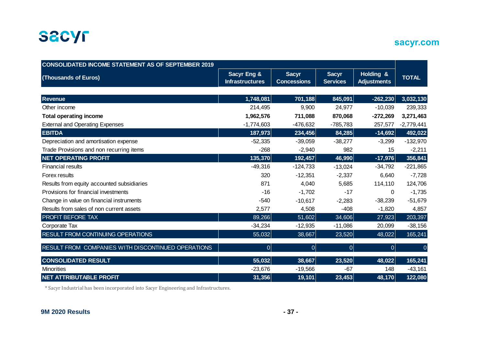

### **sacyr.com**

| <b>CONSOLIDATED INCOME STATEMENT AS OF SEPTEMBER 2019</b> |                                       |                                    |                                 |                                 |                |
|-----------------------------------------------------------|---------------------------------------|------------------------------------|---------------------------------|---------------------------------|----------------|
| (Thousands of Euros)                                      | Sacyr Eng &<br><b>Infrastructures</b> | <b>Sacyr</b><br><b>Concessions</b> | <b>Sacyr</b><br><b>Services</b> | Holding &<br><b>Adjustments</b> | <b>TOTAL</b>   |
|                                                           |                                       |                                    |                                 |                                 |                |
| <b>Revenue</b>                                            | 1,748,081                             | 701,188                            | 845,091                         | $-262,230$                      | 3,032,130      |
| Other income                                              | 214,495                               | 9,900                              | 24,977                          | $-10,039$                       | 239,333        |
| <b>Total operating income</b>                             | 1,962,576                             | 711,088                            | 870,068                         | $-272,269$                      | 3,271,463      |
| <b>External and Operating Expenses</b>                    | $-1,774,603$                          | $-476,632$                         | $-785,783$                      | 257,577                         | $-2,779,441$   |
| <b>EBITDA</b>                                             | 187,973                               | 234,456                            | 84,285                          | $-14,692$                       | 492,022        |
| Depreciation and amortisation expense                     | $-52,335$                             | $-39,059$                          | $-38,277$                       | $-3,299$                        | $-132,970$     |
| Trade Provisions and non recurring items                  | $-268$                                | $-2,940$                           | 982                             | 15                              | $-2,211$       |
| <b>NET OPERATING PROFIT</b>                               | 135,370                               | 192,457                            | 46,990                          | $-17,976$                       | 356,841        |
| <b>Financial results</b>                                  | $-49,316$                             | $-124,733$                         | $-13,024$                       | $-34,792$                       | $-221,865$     |
| Forex results                                             | 320                                   | $-12,351$                          | $-2,337$                        | 6,640                           | $-7,728$       |
| Results from equity accounted subsidiaries                | 871                                   | 4,040                              | 5,685                           | 114,110                         | 124,706        |
| Provisions for financial investments                      | $-16$                                 | $-1,702$                           | $-17$                           | 0                               | $-1,735$       |
| Change in value on financial instruments                  | $-540$                                | $-10,617$                          | $-2,283$                        | $-38,239$                       | $-51,679$      |
| Results from sales of non current assets                  | 2,577                                 | 4,508                              | $-408$                          | $-1,820$                        | 4,857          |
| PROFIT BEFORE TAX                                         | 89,266                                | 51,602                             | 34,606                          | 27,923                          | 203,397        |
| Corporate Tax                                             | $-34,234$                             | $-12,935$                          | $-11,086$                       | 20,099                          | $-38,156$      |
| RESULT FROM CONTINUING OPERATIONS                         | 55,032                                | 38,667                             | 23,520                          | 48,022                          | 165,241        |
| RESULT FROM COMPANIES WITH DISCONTINUED OPERATIONS        | 0                                     | $\overline{0}$                     | 0                               | 0                               | $\overline{0}$ |
| <b>CONSOLIDATED RESULT</b>                                | 55,032                                | 38,667                             | 23,520                          | 48,022                          | 165,241        |
| <b>Minorities</b>                                         | $-23,676$                             | $-19,566$                          | $-67$                           | 148                             | $-43,161$      |
| <b>NET ATTRIBUTABLE PROFIT</b>                            | 31,356                                | 19,101                             | 23,453                          | 48,170                          | 122,080        |

\* Sacyr Industrial has been incorporated into Sacyr Engineering and Infrastructures.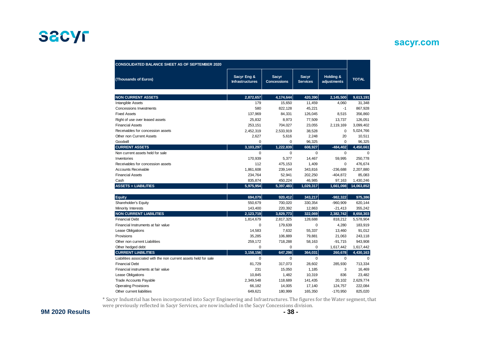#### **sacyr.com**

| <b>CONSOLIDATED BALANCE SHEET AS OF SEPTEMBER 2020</b>           |                                       |                                    |                          |                          |              |
|------------------------------------------------------------------|---------------------------------------|------------------------------------|--------------------------|--------------------------|--------------|
| (Thousands of Euros)                                             | Sacyr Eng &<br><b>Infrastructures</b> | <b>Sacyr</b><br><b>Concessions</b> | Sacyr<br><b>Services</b> | Holding &<br>adjustments | <b>TOTAL</b> |
| <b>NON CURRENT ASSETS</b>                                        | 2,872,657                             | 4,174,644                          | 420,390                  | 2,145,500                | 9,613,191    |
| Intangible Assets                                                | 179                                   | 15,650                             | 11,459                   | 4,060                    | 31,348       |
| <b>Concessions Investments</b>                                   | 580                                   | 822,128                            | 45,221                   | $-1$                     | 867,928      |
| <b>Fixed Assets</b>                                              | 137,969                               | 84,331                             | 126,045                  | 8,515                    | 356,860      |
| Right of use over leased assets                                  | 25,832                                | 8,973                              | 77,509                   | 13,737                   | 126,051      |
| <b>Financial Assets</b>                                          | 253,151                               | 704,027                            | 23,055                   | 2,119,169                | 3,099,402    |
| Receivables for concession assets                                | 2,452,319                             | 2,533,919                          | 38,528                   | $\mathbf 0$              | 5,024,766    |
| <b>Other non Current Assets</b>                                  | 2,627                                 | 5,616                              | 2,248                    | 20                       | 10,511       |
| Goodwill                                                         | $\Omega$                              | 0                                  | 96,325                   | $\Omega$                 | 96.325       |
| <b>CURRENT ASSETS</b>                                            | 3,103,297                             | 1,222,839                          | 608,927                  | $-484,402$               | 4,450,661    |
| Non current assets held for sale                                 | $\mathbf 0$                           | $\mathbf 0$                        | $\Omega$                 | $\mathbf 0$              | $\Omega$     |
| Inventories                                                      | 170.939                               | 5,377                              | 14.467                   | 59.995                   | 250.778      |
| Receivables for concession assets                                | 112                                   | 475,153                            | 1,409                    | 0                        | 476,674      |
| <b>Accounts Receivable</b>                                       | 1,861,608                             | 239,144                            | 343,816                  | $-236,688$               | 2,207,880    |
| <b>Financial Assets</b>                                          | 234,764                               | 52,941                             | 202,250                  | $-404,872$               | 85,083       |
| Cash                                                             | 835.874                               | 450,224                            | 46.985                   | 97,163                   | 1,430,246    |
| <b>ASSETS = LIABILITIES</b>                                      | 5,975,954                             | 5,397,483                          | 1,029,317                | 1,661,098                | 14,063,852   |
|                                                                  |                                       |                                    |                          |                          |              |
| <b>Equity</b>                                                    | 694.079                               | 920,412                            | 343,217                  | $-982,322$               | 975,386      |
| Shareholder's Equity                                             | 550.679                               | 700,020                            | 330,354                  | $-960,909$               | 620,144      |
| Minority Interests                                               | 143,400                               | 220,392                            | 12,863                   | $-21,413$                | 355,242      |
| <b>NON CURRENT LIABILITIES</b>                                   | 2,123,719                             | 3,829,773                          | 322,069                  | 2,382,742                | 8,658,303    |
| <b>Financial Debt</b>                                            | 1,814,679                             | 2,817,325                          | 128,688                  | 818,212                  | 5,578,904    |
| Financial Instruments at fair value                              | $\Omega$                              | 179.639                            | $\Omega$                 | 4,280                    | 183,919      |
| Lease Obligations                                                | 14,583                                | 7,632                              | 55,337                   | 13,460                   | 91,012       |
| Provisions                                                       | 35,285                                | 106,889                            | 79,881                   | 21,063                   | 243,118      |
| Other non current Liabilities                                    | 259,172                               | 718,288                            | 58,163                   | $-91,715$                | 943,908      |
| Other hedged debt                                                | $\Omega$                              | $\mathbf 0$                        | $\mathbf 0$              | 1,617,442                | 1,617,442    |
| <b>CURRENT LIABILITIES</b>                                       | 3,158,156                             | 647,298                            | 364,031                  | 260,678                  | 4,430,163    |
| Liabilities associated with the non current assets held for sale | $\Omega$                              | $\Omega$                           | $\Omega$                 | $\Omega$                 | $\Omega$     |
| <b>Financial Debt</b>                                            | 81,729                                | 317,073                            | 28,602                   | 285,930                  | 713,334      |
| Financial instruments at fair value                              | 231                                   | 15,050                             | 1,185                    | 3                        | 16,469       |
| Lease Obligations                                                | 10,845                                | 1,482                              | 10,319                   | 836                      | 23,482       |
| <b>Trade Accounts Payable</b>                                    | 2,349,548                             | 118,689                            | 141,435                  | 20,102                   | 2,629,774    |
| <b>Operating Provisions</b>                                      | 66,182                                | 14,005                             | 17,140                   | 124,757                  | 222,084      |
| Other current liabilities                                        | 649.621                               | 180,999                            | 165,350                  | $-170,950$               | 825,020      |

\* Sacyr Industrial has been incorporated into Sacyr Engineering and Infrastructures. The figures for the Water segment, that were previously reflected in Sacyr Services, are now included in the Sacyr Concessions division.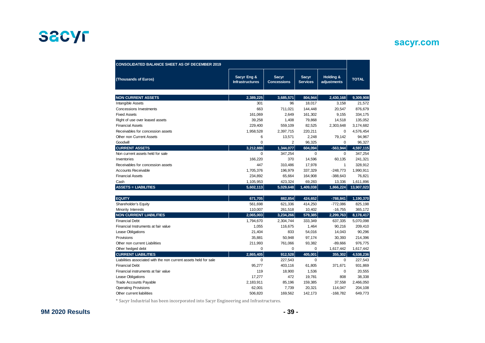### **sacyr.com**

| <b>CONSOLIDATED BALANCE SHEET AS OF DECEMBER 2019</b>            |                                       |                                    |                                 |                          |              |
|------------------------------------------------------------------|---------------------------------------|------------------------------------|---------------------------------|--------------------------|--------------|
| (Thousands of Euros)                                             | Sacyr Eng &<br><b>Infrastructures</b> | <b>Sacyr</b><br><b>Concessions</b> | <b>Sacyr</b><br><b>Services</b> | Holding &<br>adjustments | <b>TOTAL</b> |
| <b>NON CURRENT ASSETS</b>                                        | 2,389,225                             | 3,685,571                          | 804,944                         | 2,430,168                | 9,309,908    |
| Intangible Assets                                                | 301                                   | 96                                 | 18,017                          | 3,158                    | 21,572       |
| <b>Concessions Investments</b>                                   | 663                                   | 711,021                            | 144,448                         | 20,547                   | 876,679      |
| <b>Fixed Assets</b>                                              | 161,069                               | 2.649                              | 161,302                         | 9,155                    | 334,175      |
| Right of use over leased assets                                  | 39,258                                | 1,408                              | 79,868                          | 14,518                   | 135,052      |
| <b>Financial Assets</b>                                          | 229,400                               | 559,109                            | 82,525                          | 2,303,648                | 3,174,682    |
| Receivables for concession assets                                | 1,958,528                             | 2,397,715                          | 220,211                         | $\mathbf 0$              | 4,576,454    |
| Other non Current Assets                                         | 6                                     | 13,571                             | 2,248                           | 79,142                   | 94,967       |
| Goodwill                                                         | 0                                     | $\overline{2}$                     | 96,325                          | $\Omega$                 | 96,327       |
| <b>CURRENT ASSETS</b>                                            | 3,212,888                             | 1,344,077                          | 604,094                         | $-563,944$               | 4,597,115    |
| Non current assets held for sale                                 | 0                                     | 347,254                            | $\mathbf 0$                     | 0                        | 347,254      |
| Inventories                                                      | 166,220                               | 370                                | 14,596                          | 60,135                   | 241,321      |
| Receivables for concession assets                                | 447                                   | 310,486                            | 17,978                          | 1                        | 328,912      |
| <b>Accounts Receivable</b>                                       | 1,705,376                             | 196,979                            | 337,329                         | $-248,773$               | 1,990,911    |
| <b>Financial Assets</b>                                          | 234,892                               | 65,664                             | 164,908                         | $-388,643$               | 76,821       |
| Cash                                                             | 1,105,953                             | 423,324                            | 69,283                          | 13,336                   | 1,611,896    |
| <b>ASSETS = LIABILITIES</b>                                      | 5,602,113                             | 5,029,648                          | 1,409,038                       | 1,866,224                | 13,907,023   |
|                                                                  |                                       |                                    |                                 |                          |              |
| <b>EQUITY</b>                                                    | 671,705                               | 882,854                            | 424,652                         | $-788,841$               | 1,190,370    |
| Shareholder's Equity                                             | 561,698                               | 621,336                            | 414,250                         | $-772,086$               | 825,198      |
| Minority Interests                                               | 110,007                               | 261,518                            | 10,402                          | $-16,755$                | 365,172      |
| <b>NON CURRENT LIABILITIES</b>                                   | 2,065,003                             | 3,234,266                          | 579,385                         | 2,299,763                | 8,178,417    |
| <b>Financial Debt</b>                                            | 1,794,670                             | 2,304,744                          | 333,349                         | 637,335                  | 5,070,098    |
| Financial Instruments at fair value                              | 1,055                                 | 116,675                            | 1,464                           | 90,216                   | 209,410      |
| <b>Lease Obligations</b>                                         | 21,404                                | 833                                | 54,016                          | 14,043                   | 90,296       |
| Provisions                                                       | 35,881                                | 50,948                             | 97,174                          | 30,393                   | 214,396      |
| Other non current Liabilities                                    | 211,993                               | 761,066                            | 93,382                          | $-89,666$                | 976,775      |
| Other hedged debt                                                | 0                                     | $\mathbf 0$                        | 0                               | 1,617,442                | 1,617,442    |
| <b>CURRENT LIABILITIES</b>                                       | 2,865,405                             | 912,528                            | 405,001                         | 355,302                  | 4,538,236    |
| Liabilities associated with the non current assets held for sale | 0                                     | 227,543                            | 0                               | 0                        | 227,543      |
| <b>Financial Debt</b>                                            | 95,277                                | 403,116                            | 61,805                          | 371,671                  | 931,869      |
| Financial instruments at fair value                              | 119                                   | 18,900                             | 1,536                           | $\mathbf 0$              | 20,555       |
| Lease Obligations                                                | 17,277                                | 472                                | 19,781                          | 808                      | 38,338       |
| <b>Trade Accounts Payable</b>                                    | 2,183,911                             | 85,196                             | 159,385                         | 37,558                   | 2,466,050    |
| <b>Operating Provisions</b>                                      | 62,001                                | 7,739                              | 20,321                          | 114,047                  | 204,108      |
| Other current liabilities                                        | 506,820                               | 169,562                            | 142,173                         | $-168,782$               | 649,773      |

 $^\ast$  Sacyr Industrial has been incorporated into Sacyr Engineering and Infrastructures.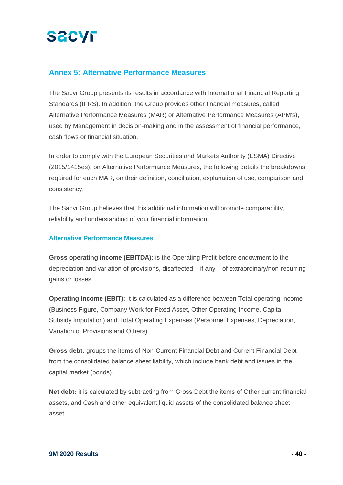#### **Annex 5: Alternative Performance Measures**

The Sacyr Group presents its results in accordance with International Financial Reporting Standards (IFRS). In addition, the Group provides other financial measures, called Alternative Performance Measures (MAR) or Alternative Performance Measures (APM's), used by Management in decision-making and in the assessment of financial performance, cash flows or financial situation.

In order to comply with the European Securities and Markets Authority (ESMA) Directive (2015/1415es), on Alternative Performance Measures, the following details the breakdowns required for each MAR, on their definition, conciliation, explanation of use, comparison and consistency.

The Sacyr Group believes that this additional information will promote comparability, reliability and understanding of your financial information.

#### **Alternative Performance Measures**

**Gross operating income (EBITDA):** is the Operating Profit before endowment to the depreciation and variation of provisions, disaffected – if any – of extraordinary/non-recurring gains or losses.

**Operating Income (EBIT):** It is calculated as a difference between Total operating income (Business Figure, Company Work for Fixed Asset, Other Operating Income, Capital Subsidy Imputation) and Total Operating Expenses (Personnel Expenses, Depreciation, Variation of Provisions and Others).

**Gross debt:** groups the items of Non-Current Financial Debt and Current Financial Debt from the consolidated balance sheet liability, which include bank debt and issues in the capital market (bonds).

**Net debt:** it is calculated by subtracting from Gross Debt the items of Other current financial assets, and Cash and other equivalent liquid assets of the consolidated balance sheet asset.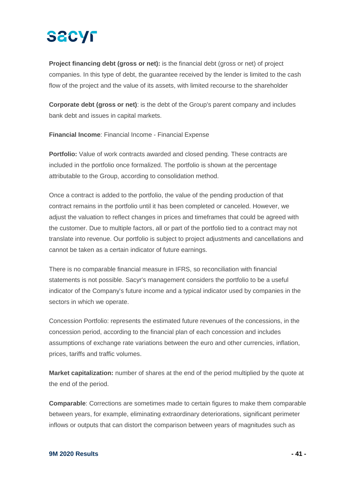# **SACYF**

**Project financing debt (gross or net):** is the financial debt (gross or net) of project companies. In this type of debt, the guarantee received by the lender is limited to the cash flow of the project and the value of its assets, with limited recourse to the shareholder

**Corporate debt (gross or net)**: is the debt of the Group's parent company and includes bank debt and issues in capital markets.

**Financial Income**: Financial Income - Financial Expense

**Portfolio:** Value of work contracts awarded and closed pending. These contracts are included in the portfolio once formalized. The portfolio is shown at the percentage attributable to the Group, according to consolidation method.

Once a contract is added to the portfolio, the value of the pending production of that contract remains in the portfolio until it has been completed or canceled. However, we adjust the valuation to reflect changes in prices and timeframes that could be agreed with the customer. Due to multiple factors, all or part of the portfolio tied to a contract may not translate into revenue. Our portfolio is subject to project adjustments and cancellations and cannot be taken as a certain indicator of future earnings.

There is no comparable financial measure in IFRS, so reconciliation with financial statements is not possible. Sacyr's management considers the portfolio to be a useful indicator of the Company's future income and a typical indicator used by companies in the sectors in which we operate.

Concession Portfolio: represents the estimated future revenues of the concessions, in the concession period, according to the financial plan of each concession and includes assumptions of exchange rate variations between the euro and other currencies, inflation, prices, tariffs and traffic volumes.

**Market capitalization:** number of shares at the end of the period multiplied by the quote at the end of the period.

**Comparable**: Corrections are sometimes made to certain figures to make them comparable between years, for example, eliminating extraordinary deteriorations, significant perimeter inflows or outputs that can distort the comparison between years of magnitudes such as